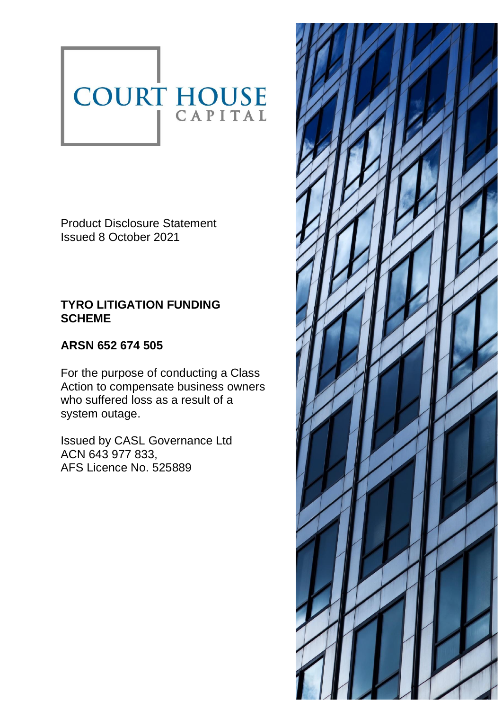# COURT HOUSE

Product Disclosure Statement Issued 8 October 2021

# **TYRO LITIGATION FUNDING SCHEME**

# **ARSN 652 674 505**

For the purpose of conducting a Class Action to compensate business owners who suffered loss as a result of a system outage.

Issued by CASL Governance Ltd ACN 643 977 833, AFS Licence No. 525889

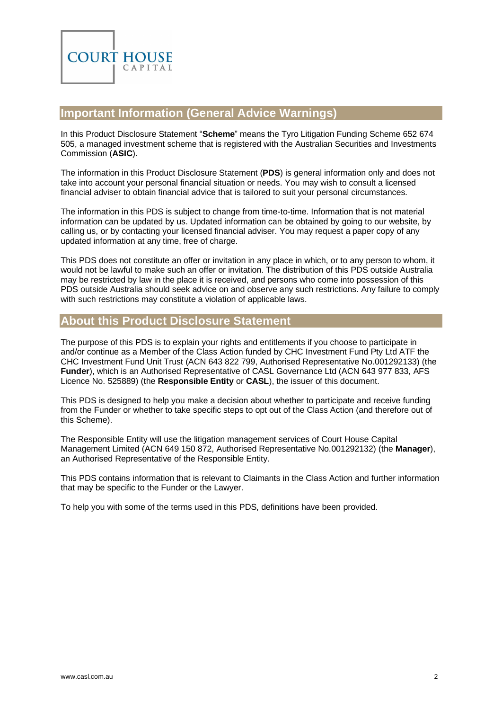

# <span id="page-1-0"></span>**Important Information (General Advice Warnings)**

In this Product Disclosure Statement "**Scheme**" means the Tyro Litigation Funding Scheme 652 674 505, a managed investment scheme that is registered with the Australian Securities and Investments Commission (**ASIC**).

The information in this Product Disclosure Statement (**PDS**) is general information only and does not take into account your personal financial situation or needs. You may wish to consult a licensed financial adviser to obtain financial advice that is tailored to suit your personal circumstances.

The information in this PDS is subject to change from time-to-time. Information that is not material information can be updated by us. Updated information can be obtained by going to our website, by calling us, or by contacting your licensed financial adviser. You may request a paper copy of any updated information at any time, free of charge.

This PDS does not constitute an offer or invitation in any place in which, or to any person to whom, it would not be lawful to make such an offer or invitation. The distribution of this PDS outside Australia may be restricted by law in the place it is received, and persons who come into possession of this PDS outside Australia should seek advice on and observe any such restrictions. Any failure to comply with such restrictions may constitute a violation of applicable laws.

# <span id="page-1-1"></span>**About this Product Disclosure Statement**

The purpose of this PDS is to explain your rights and entitlements if you choose to participate in and/or continue as a Member of the Class Action funded by CHC Investment Fund Pty Ltd ATF the CHC Investment Fund Unit Trust (ACN 643 822 799, Authorised Representative No.001292133) (the **Funder**), which is an Authorised Representative of CASL Governance Ltd (ACN 643 977 833, AFS Licence No. 525889) (the **Responsible Entity** or **CASL**), the issuer of this document.

This PDS is designed to help you make a decision about whether to participate and receive funding from the Funder or whether to take specific steps to opt out of the Class Action (and therefore out of this Scheme).

The Responsible Entity will use the litigation management services of Court House Capital Management Limited (ACN 649 150 872, Authorised Representative No.001292132) (the **Manager**), an Authorised Representative of the Responsible Entity.

This PDS contains information that is relevant to Claimants in the Class Action and further information that may be specific to the Funder or the Lawyer.

To help you with some of the terms used in this PDS, definitions have been provided.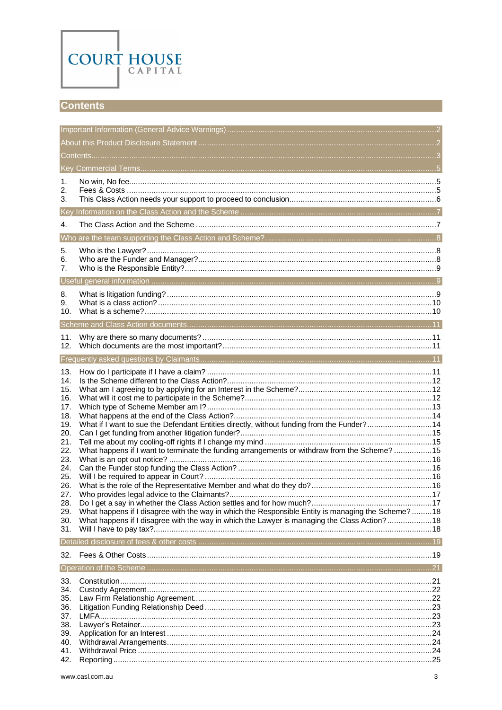

## <span id="page-2-0"></span>**Contents**

| 1.         |                                                                                                   |  |  |  |
|------------|---------------------------------------------------------------------------------------------------|--|--|--|
| 2.         |                                                                                                   |  |  |  |
| 3.         |                                                                                                   |  |  |  |
|            |                                                                                                   |  |  |  |
| 4.         |                                                                                                   |  |  |  |
|            |                                                                                                   |  |  |  |
| 5.         |                                                                                                   |  |  |  |
| 6.         |                                                                                                   |  |  |  |
| 7.         |                                                                                                   |  |  |  |
|            |                                                                                                   |  |  |  |
| 8.<br>9.   |                                                                                                   |  |  |  |
| 10.        |                                                                                                   |  |  |  |
|            |                                                                                                   |  |  |  |
|            |                                                                                                   |  |  |  |
| 11.<br>12. |                                                                                                   |  |  |  |
|            |                                                                                                   |  |  |  |
| 13.        |                                                                                                   |  |  |  |
| 14.        |                                                                                                   |  |  |  |
| 15.        |                                                                                                   |  |  |  |
| 16.        |                                                                                                   |  |  |  |
| 17.<br>18. |                                                                                                   |  |  |  |
| 19.        | What if I want to sue the Defendant Entities directly, without funding from the Funder?14         |  |  |  |
| 20.        |                                                                                                   |  |  |  |
| 21.<br>22. | What happens if I want to terminate the funding arrangements or withdraw from the Scheme? 15      |  |  |  |
| 23.        |                                                                                                   |  |  |  |
| 24.        |                                                                                                   |  |  |  |
| 25.<br>26. |                                                                                                   |  |  |  |
| 27.        |                                                                                                   |  |  |  |
| 28.        |                                                                                                   |  |  |  |
| 29.        | What happens if I disagree with the way in which the Responsible Entity is managing the Scheme?18 |  |  |  |
| 30.<br>31. | What happens if I disagree with the way in which the Lawyer is managing the Class Action?18       |  |  |  |
|            |                                                                                                   |  |  |  |
| 32.        |                                                                                                   |  |  |  |
|            |                                                                                                   |  |  |  |
| 33.        |                                                                                                   |  |  |  |
| 34.        |                                                                                                   |  |  |  |
| 35.        |                                                                                                   |  |  |  |
| 36.<br>37. |                                                                                                   |  |  |  |
| 38.        |                                                                                                   |  |  |  |
| 39.        |                                                                                                   |  |  |  |
| 40.<br>41. |                                                                                                   |  |  |  |
| 42.        |                                                                                                   |  |  |  |
|            |                                                                                                   |  |  |  |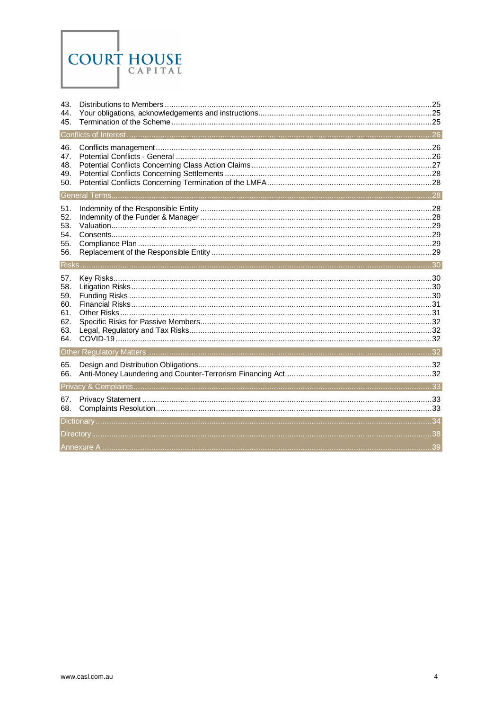

| 43.<br>44.                                           |  |
|------------------------------------------------------|--|
| 45.                                                  |  |
|                                                      |  |
| 46.<br>47.<br>48.<br>49.<br>50.                      |  |
|                                                      |  |
| 51.<br>52.<br>53.<br>54.<br>55.<br>56.               |  |
|                                                      |  |
| 57.<br>58.<br>59.<br>60.<br>61.<br>62.<br>63.<br>64. |  |
|                                                      |  |
| 65.<br>66.                                           |  |
|                                                      |  |
| 67.<br>68.                                           |  |
|                                                      |  |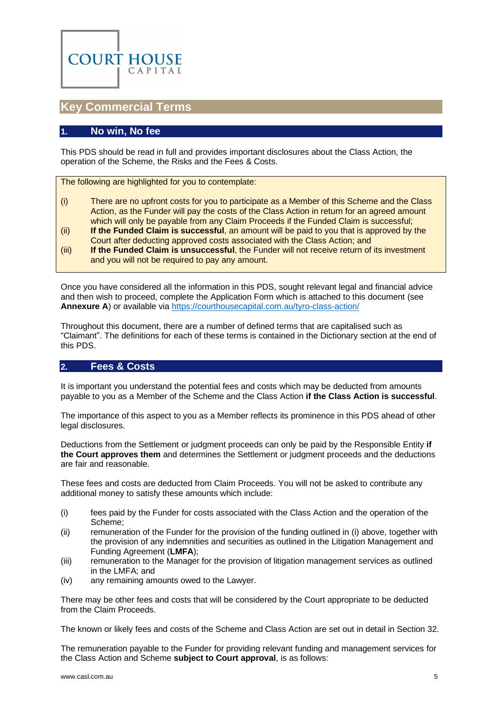

## <span id="page-4-0"></span>**Key Commercial Terms**

## <span id="page-4-1"></span>**1. No win, No fee**

This PDS should be read in full and provides important disclosures about the Class Action, the operation of the Scheme, the Risks and the Fees & Costs.

The following are highlighted for you to contemplate:

- (i) There are no upfront costs for you to participate as a Member of this Scheme and the Class Action, as the Funder will pay the costs of the Class Action in return for an agreed amount which will only be payable from any Claim Proceeds if the Funded Claim is successful;
- (ii) **If the Funded Claim is successful**, an amount will be paid to you that is approved by the Court after deducting approved costs associated with the Class Action; and
- (iii) **If the Funded Claim is unsuccessful**, the Funder will not receive return of its investment and you will not be required to pay any amount.

Once you have considered all the information in this PDS, sought relevant legal and financial advice and then wish to proceed, complete the Application Form which is attached to this document (see **[Annexure A](#page-38-0)**) or available vi[a https://courthousecapital.com.au/tyro-class-action/](https://courthousecapital.com.au/tyro-class-action/)

Throughout this document, there are a number of defined terms that are capitalised such as "Claimant". The definitions for each of these terms is contained in the [Dictionary](#page-33-0) section at the end of this PDS.

## <span id="page-4-2"></span>**2. Fees & Costs**

It is important you understand the potential fees and costs which may be deducted from amounts payable to you as a Member of the Scheme and the Class Action **if the Class Action is successful**.

The importance of this aspect to you as a Member reflects its prominence in this PDS ahead of other legal disclosures.

Deductions from the Settlement or judgment proceeds can only be paid by the Responsible Entity **if the Court approves them** and determines the Settlement or judgment proceeds and the deductions are fair and reasonable.

These fees and costs are deducted from Claim Proceeds. You will not be asked to contribute any additional money to satisfy these amounts which include:

- (i) fees paid by the Funder for costs associated with the Class Action and the operation of the Scheme;
- (ii) remuneration of the Funder for the provision of the funding outlined in (i) above, together with the provision of any indemnities and securities as outlined in the Litigation Management and Funding Agreement (**LMFA**);
- (iii) remuneration to the Manager for the provision of litigation management services as outlined in the LMFA; and
- (iv) any remaining amounts owed to the Lawyer.

There may be other fees and costs that will be considered by the Court appropriate to be deducted from the Claim Proceeds.

The known or likely fees and costs of the Scheme and Class Action are set out in detail in Sectio[n 32.](#page-18-1)

The remuneration payable to the Funder for providing relevant funding and management services for the Class Action and Scheme **subject to Court approval**, is as follows: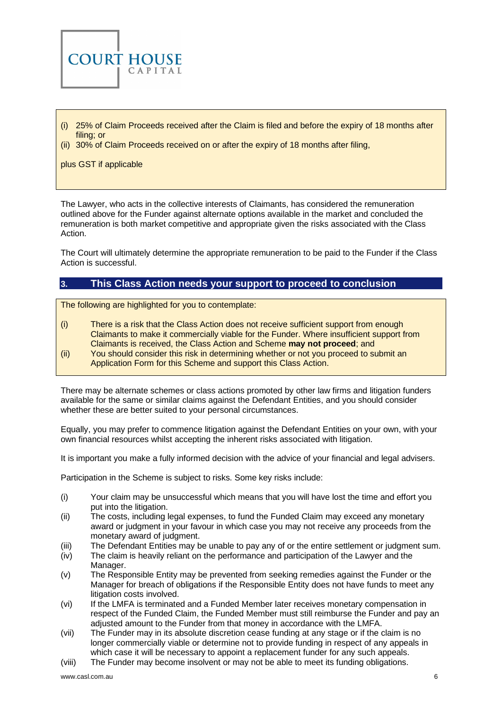

- (i) 25% of Claim Proceeds received after the Claim is filed and before the expiry of 18 months after filing; or
- (ii) 30% of Claim Proceeds received on or after the expiry of 18 months after filing,

plus GST if applicable

The Lawyer, who acts in the collective interests of Claimants, has considered the remuneration outlined above for the Funder against alternate options available in the market and concluded the remuneration is both market competitive and appropriate given the risks associated with the Class Action.

The Court will ultimately determine the appropriate remuneration to be paid to the Funder if the Class Action is successful.

## <span id="page-5-0"></span>**3. This Class Action needs your support to proceed to conclusion**

The following are highlighted for you to contemplate:

- (i) There is a risk that the Class Action does not receive sufficient support from enough Claimants to make it commercially viable for the Funder. Where insufficient support from Claimants is received, the Class Action and Scheme **may not proceed**; and
- (ii) You should consider this risk in determining whether or not you proceed to submit an Application Form for this Scheme and support this Class Action.

There may be alternate schemes or class actions promoted by other law firms and litigation funders available for the same or similar claims against the Defendant Entities, and you should consider whether these are better suited to your personal circumstances.

Equally, you may prefer to commence litigation against the Defendant Entities on your own, with your own financial resources whilst accepting the inherent risks associated with litigation.

It is important you make a fully informed decision with the advice of your financial and legal advisers.

Participation in the Scheme is subject to risks. Some key risks include:

- (i) Your claim may be unsuccessful which means that you will have lost the time and effort you put into the litigation.
- (ii) The costs, including legal expenses, to fund the Funded Claim may exceed any monetary award or judgment in your favour in which case you may not receive any proceeds from the monetary award of judgment.
- (iii) The Defendant Entities may be unable to pay any of or the entire settlement or judgment sum.
- (iv) The claim is heavily reliant on the performance and participation of the Lawyer and the Manager.
- (v) The Responsible Entity may be prevented from seeking remedies against the Funder or the Manager for breach of obligations if the Responsible Entity does not have funds to meet any litigation costs involved.
- (vi) If the LMFA is terminated and a Funded Member later receives monetary compensation in respect of the Funded Claim, the Funded Member must still reimburse the Funder and pay an adjusted amount to the Funder from that money in accordance with the LMFA.
- (vii) The Funder may in its absolute discretion cease funding at any stage or if the claim is no longer commercially viable or determine not to provide funding in respect of any appeals in which case it will be necessary to appoint a replacement funder for any such appeals.
- (viii) The Funder may become insolvent or may not be able to meet its funding obligations.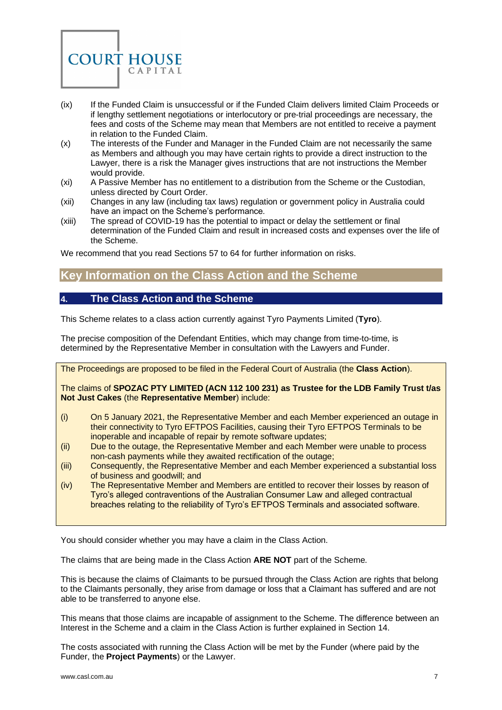

- (ix) If the Funded Claim is unsuccessful or if the Funded Claim delivers limited Claim Proceeds or if lengthy settlement negotiations or interlocutory or pre-trial proceedings are necessary, the fees and costs of the Scheme may mean that Members are not entitled to receive a payment in relation to the Funded Claim.
- (x) The interests of the Funder and Manager in the Funded Claim are not necessarily the same as Members and although you may have certain rights to provide a direct instruction to the Lawyer, there is a risk the Manager gives instructions that are not instructions the Member would provide.
- (xi) A Passive Member has no entitlement to a distribution from the Scheme or the Custodian, unless directed by Court Order.
- (xii) Changes in any law (including tax laws) regulation or government policy in Australia could have an impact on the Scheme's performance.
- (xiii) The spread of COVID-19 has the potential to impact or delay the settlement or final determination of the Funded Claim and result in increased costs and expenses over the life of the Scheme.

<span id="page-6-0"></span>We recommend that you read Section[s 57](#page-29-1) t[o 64](#page-31-2) for further information on risks.

# **Key Information on the Class Action and the Scheme**

## <span id="page-6-1"></span>**4. The Class Action and the Scheme**

This Scheme relates to a class action currently against Tyro Payments Limited (**Tyro**).

The precise composition of the Defendant Entities, which may change from time-to-time, is determined by the Representative Member in consultation with the Lawyers and Funder.

The Proceedings are proposed to be filed in the Federal Court of Australia (the **Class Action**).

The claims of **SPOZAC PTY LIMITED (ACN 112 100 231) as Trustee for the LDB Family Trust t/as Not Just Cakes** (the **Representative Member**) include:

- (i) On 5 January 2021, the Representative Member and each Member experienced an outage in their connectivity to Tyro EFTPOS Facilities, causing their Tyro EFTPOS Terminals to be inoperable and incapable of repair by remote software updates;
- (ii) Due to the outage, the Representative Member and each Member were unable to process non-cash payments while they awaited rectification of the outage;
- (iii) Consequently, the Representative Member and each Member experienced a substantial loss of business and goodwill; and
- (iv) The Representative Member and Members are entitled to recover their losses by reason of Tyro's alleged contraventions of the Australian Consumer Law and alleged contractual breaches relating to the reliability of Tyro's EFTPOS Terminals and associated software.

You should consider whether you may have a claim in the Class Action.

The claims that are being made in the Class Action **ARE NOT** part of the Scheme.

This is because the claims of Claimants to be pursued through the Class Action are rights that belong to the Claimants personally, they arise from damage or loss that a Claimant has suffered and are not able to be transferred to anyone else.

This means that those claims are incapable of assignment to the Scheme. The difference between an Interest in the Scheme and a claim in the Class Action is further explained in Section [14.](#page-11-0)

The costs associated with running the Class Action will be met by the Funder (where paid by the Funder, the **Project Payments**) or the Lawyer.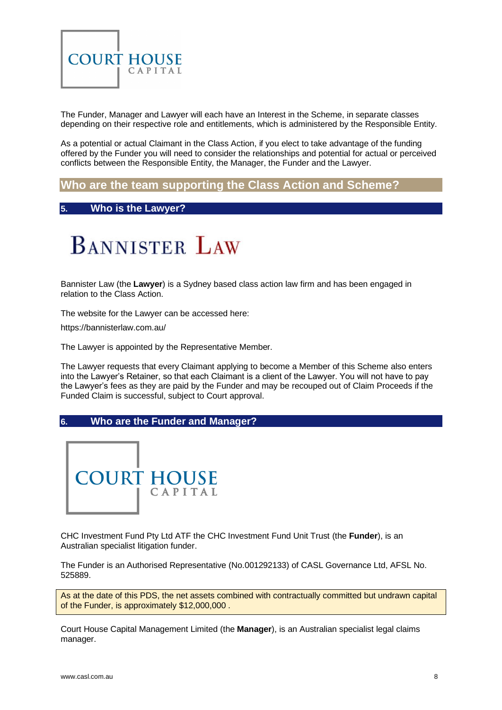

The Funder, Manager and Lawyer will each have an Interest in the Scheme, in separate classes depending on their respective role and entitlements, which is administered by the Responsible Entity.

As a potential or actual Claimant in the Class Action, if you elect to take advantage of the funding offered by the Funder you will need to consider the relationships and potential for actual or perceived conflicts between the Responsible Entity, the Manager, the Funder and the Lawyer.

# <span id="page-7-0"></span>**Who are the team supporting the Class Action and Scheme?**

## <span id="page-7-1"></span>**5. Who is the Lawyer?**



Bannister Law (the **Lawyer**) is a Sydney based class action law firm and has been engaged in relation to the Class Action.

The website for the Lawyer can be accessed here:

<https://bannisterlaw.com.au/>

The Lawyer is appointed by the Representative Member.

The Lawyer requests that every Claimant applying to become a Member of this Scheme also enters into the Lawyer's Retainer, so that each Claimant is a client of the Lawyer. You will not have to pay the Lawyer's fees as they are paid by the Funder and may be recouped out of Claim Proceeds if the Funded Claim is successful, subject to Court approval.

#### <span id="page-7-2"></span>**6. Who are the Funder and Manager?**



CHC Investment Fund Pty Ltd ATF the CHC Investment Fund Unit Trust (the **Funder**), is an Australian specialist litigation funder.

The Funder is an Authorised Representative (No.001292133) of CASL Governance Ltd, AFSL No. 525889.

As at the date of this PDS, the net assets combined with contractually committed but undrawn capital of the Funder, is approximately \$12,000,000 .

Court House Capital Management Limited (the **Manager**), is an Australian specialist legal claims manager.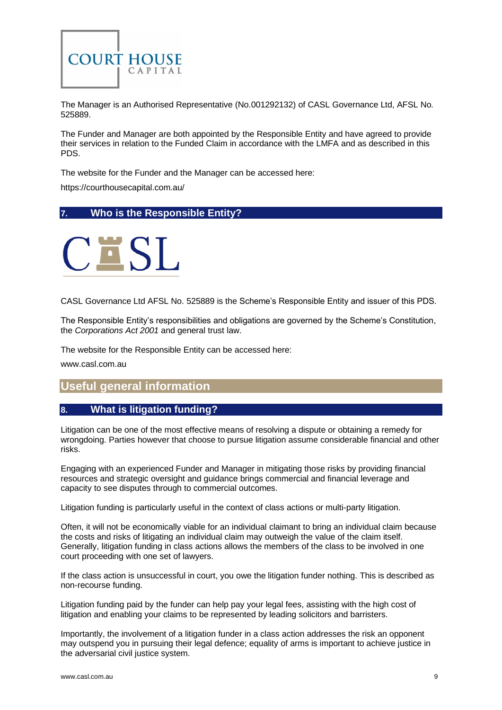

The Manager is an Authorised Representative (No.001292132) of CASL Governance Ltd, AFSL No. 525889.

The Funder and Manager are both appointed by the Responsible Entity and have agreed to provide their services in relation to the Funded Claim in accordance with the LMFA and as described in this PDS.

The website for the Funder and the Manager can be accessed here:

https://courthousecapital.com.au/

## <span id="page-8-0"></span>**7. Who is the Responsible Entity?**



CASL Governance Ltd AFSL No. 525889 is the Scheme's Responsible Entity and issuer of this PDS.

The Responsible Entity's responsibilities and obligations are governed by the Scheme's Constitution, the *Corporations Act 2001* and general trust law.

The website for the Responsible Entity can be accessed here:

<span id="page-8-1"></span>[www.casl.com.au](http://www.casl.com.au/)

## **Useful general information**

## <span id="page-8-2"></span>**8. What is litigation funding?**

Litigation can be one of the most effective means of resolving a dispute or obtaining a remedy for wrongdoing. Parties however that choose to pursue litigation assume considerable financial and other risks.

Engaging with an experienced Funder and Manager in mitigating those risks by providing financial resources and strategic oversight and guidance brings commercial and financial leverage and capacity to see disputes through to commercial outcomes.

Litigation funding is particularly useful in the context of class actions or multi-party litigation.

Often, it will not be economically viable for an individual claimant to bring an individual claim because the costs and risks of litigating an individual claim may outweigh the value of the claim itself. Generally, litigation funding in class actions allows the members of the class to be involved in one court proceeding with one set of lawyers.

If the class action is unsuccessful in court, you owe the litigation funder nothing. This is described as non-recourse funding.

Litigation funding paid by the funder can help pay your legal fees, assisting with the high cost of litigation and enabling your claims to be represented by leading solicitors and barristers.

Importantly, the involvement of a litigation funder in a class action addresses the risk an opponent may outspend you in pursuing their legal defence; equality of arms is important to achieve justice in the adversarial civil justice system.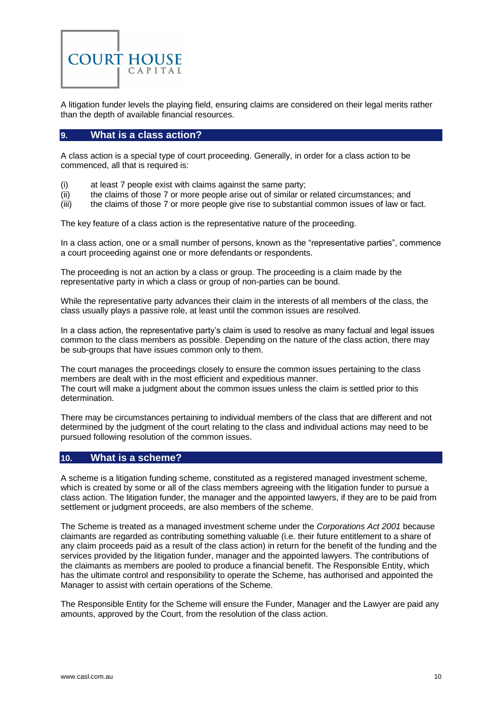

A litigation funder levels the playing field, ensuring claims are considered on their legal merits rather than the depth of available financial resources.

## <span id="page-9-0"></span>**9. What is a class action?**

A class action is a special type of court proceeding. Generally, in order for a class action to be commenced, all that is required is:

- (i) at least 7 people exist with claims against the same party;
- (ii) the claims of those 7 or more people arise out of similar or related circumstances; and
- (iii) the claims of those 7 or more people give rise to substantial common issues of law or fact.

The key feature of a class action is the representative nature of the proceeding.

In a class action, one or a small number of persons, known as the "representative parties", commence a court proceeding against one or more defendants or respondents.

The proceeding is not an action by a class or group. The proceeding is a claim made by the representative party in which a class or group of non-parties can be bound.

While the representative party advances their claim in the interests of all members of the class, the class usually plays a passive role, at least until the common issues are resolved.

In a class action, the representative party's claim is used to resolve as many factual and legal issues common to the class members as possible. Depending on the nature of the class action, there may be sub-groups that have issues common only to them.

The court manages the proceedings closely to ensure the common issues pertaining to the class members are dealt with in the most efficient and expeditious manner. The court will make a judgment about the common issues unless the claim is settled prior to this determination.

There may be circumstances pertaining to individual members of the class that are different and not determined by the judgment of the court relating to the class and individual actions may need to be pursued following resolution of the common issues.

#### <span id="page-9-1"></span>**10. What is a scheme?**

A scheme is a litigation funding scheme, constituted as a registered managed investment scheme, which is created by some or all of the class members agreeing with the litigation funder to pursue a class action. The litigation funder, the manager and the appointed lawyers, if they are to be paid from settlement or judgment proceeds, are also members of the scheme.

The Scheme is treated as a managed investment scheme under the *Corporations Act 2001* because claimants are regarded as contributing something valuable (i.e. their future entitlement to a share of any claim proceeds paid as a result of the class action) in return for the benefit of the funding and the services provided by the litigation funder, manager and the appointed lawyers. The contributions of the claimants as members are pooled to produce a financial benefit. The Responsible Entity, which has the ultimate control and responsibility to operate the Scheme, has authorised and appointed the Manager to assist with certain operations of the Scheme.

The Responsible Entity for the Scheme will ensure the Funder, Manager and the Lawyer are paid any amounts, approved by the Court, from the resolution of the class action.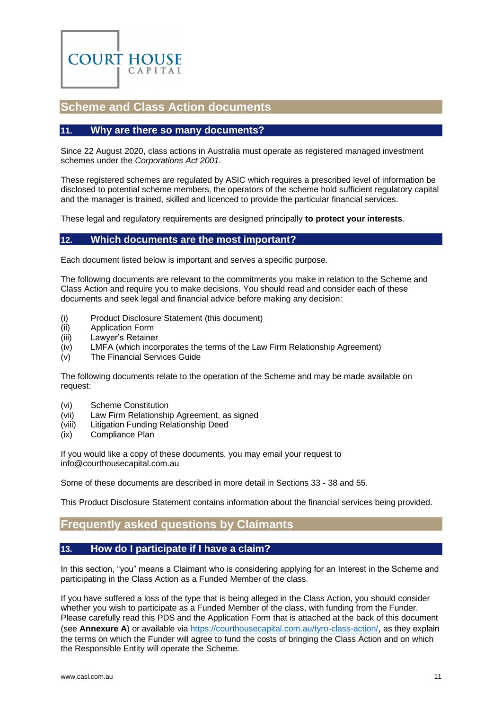

## <span id="page-10-0"></span>**Scheme and Class Action documents**

#### <span id="page-10-1"></span>**11. Why are there so many documents?**

Since 22 August 2020, class actions in Australia must operate as registered managed investment schemes under the *Corporations Act 2001*.

These registered schemes are regulated by ASIC which requires a prescribed level of information be disclosed to potential scheme members, the operators of the scheme hold sufficient regulatory capital and the manager is trained, skilled and licenced to provide the particular financial services.

<span id="page-10-2"></span>These legal and regulatory requirements are designed principally **to protect your interests**.

#### **12. Which documents are the most important?**

Each document listed below is important and serves a specific purpose.

The following documents are relevant to the commitments you make in relation to the Scheme and Class Action and require you to make decisions. You should read and consider each of these documents and seek legal and financial advice before making any decision:

- (i) Product Disclosure Statement (this document)
- (ii) Application Form
- (iii) Lawyer's Retainer
- (iv) LMFA (which incorporates the terms of the Law Firm Relationship Agreement)
- (v) The Financial Services Guide

The following documents relate to the operation of the Scheme and may be made available on request:

- (vi) Scheme Constitution
- (vii) Law Firm Relationship Agreement, as signed
- (viii) Litigation Funding Relationship Deed
- (ix) Compliance Plan

If you would like a copy of these documents, you may email your request to [info@courthousecapital.com.au](mailto:info@courthousecapital.com.au)

Some of these documents are described in more detail in Sections [33](#page-20-1) - [38](#page-22-2) and [55.](#page-28-2)

<span id="page-10-3"></span>This Product Disclosure Statement contains information about the financial services being provided.

## **Frequently asked questions by Claimants**

## <span id="page-10-4"></span>**13. How do I participate if I have a claim?**

In this section, "you" means a Claimant who is considering applying for an Interest in the Scheme and participating in the Class Action as a Funded Member of the class.

If you have suffered a loss of the type that is being alleged in the Class Action, you should consider whether you wish to participate as a Funded Member of the class, with funding from the Funder. Please carefully read this PDS and the Application Form that is attached at the back of this document (see **[Annexure A](#page-38-0)**) or available via<https://courthousecapital.com.au/tyro-class-action/>, as they explain the terms on which the Funder will agree to fund the costs of bringing the Class Action and on which the Responsible Entity will operate the Scheme.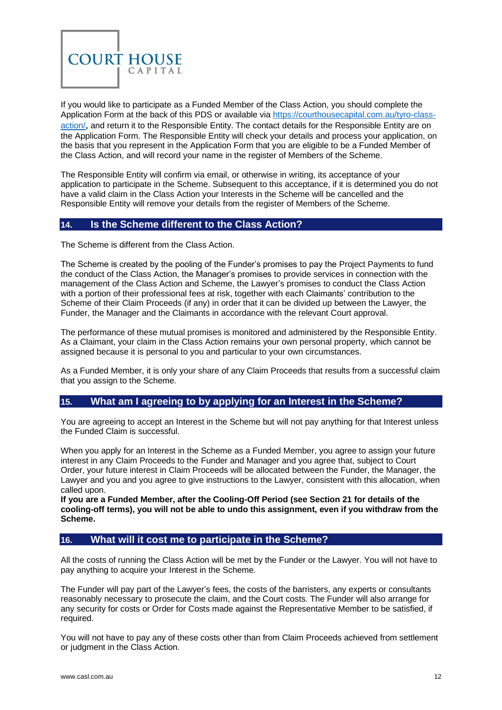

If you would like to participate as a Funded Member of the Class Action, you should complete the Application Form at the back of this PDS or available via [https://courthousecapital.com.au/tyro-class](https://courthousecapital.com.au/tyro-class-action/)[action/](https://courthousecapital.com.au/tyro-class-action/), and return it to the Responsible Entity. The contact details for the Responsible Entity are on the Application Form. The Responsible Entity will check your details and process your application, on the basis that you represent in the Application Form that you are eligible to be a Funded Member of the Class Action, and will record your name in the register of Members of the Scheme.

The Responsible Entity will confirm via email, or otherwise in writing, its acceptance of your application to participate in the Scheme. Subsequent to this acceptance, if it is determined you do not have a valid claim in the Class Action your Interests in the Scheme will be cancelled and the Responsible Entity will remove your details from the register of Members of the Scheme.

## <span id="page-11-0"></span>**14. Is the Scheme different to the Class Action?**

The Scheme is different from the Class Action.

The Scheme is created by the pooling of the Funder's promises to pay the Project Payments to fund the conduct of the Class Action, the Manager's promises to provide services in connection with the management of the Class Action and Scheme, the Lawyer's promises to conduct the Class Action with a portion of their professional fees at risk, together with each Claimants' contribution to the Scheme of their Claim Proceeds (if any) in order that it can be divided up between the Lawyer, the Funder, the Manager and the Claimants in accordance with the relevant Court approval.

The performance of these mutual promises is monitored and administered by the Responsible Entity. As a Claimant, your claim in the Class Action remains your own personal property, which cannot be assigned because it is personal to you and particular to your own circumstances.

As a Funded Member, it is only your share of any Claim Proceeds that results from a successful claim that you assign to the Scheme.

## <span id="page-11-1"></span>**15. What am I agreeing to by applying for an Interest in the Scheme?**

You are agreeing to accept an Interest in the Scheme but will not pay anything for that Interest unless the Funded Claim is successful.

When you apply for an Interest in the Scheme as a Funded Member, you agree to assign your future interest in any Claim Proceeds to the Funder and Manager and you agree that, subject to Court Order, your future interest in Claim Proceeds will be allocated between the Funder, the Manager, the Lawyer and you and you agree to give instructions to the Lawyer, consistent with this allocation, when called upon.

**If you are a Funded Member, after the Cooling-Off Period (see Section [21](#page-14-1) for details of the cooling-off terms), you will not be able to undo this assignment, even if you withdraw from the Scheme.**

## <span id="page-11-2"></span>**16. What will it cost me to participate in the Scheme?**

All the costs of running the Class Action will be met by the Funder or the Lawyer. You will not have to pay anything to acquire your Interest in the Scheme.

The Funder will pay part of the Lawyer's fees, the costs of the barristers, any experts or consultants reasonably necessary to prosecute the claim, and the Court costs. The Funder will also arrange for any security for costs or Order for Costs made against the Representative Member to be satisfied, if required.

You will not have to pay any of these costs other than from Claim Proceeds achieved from settlement or judgment in the Class Action.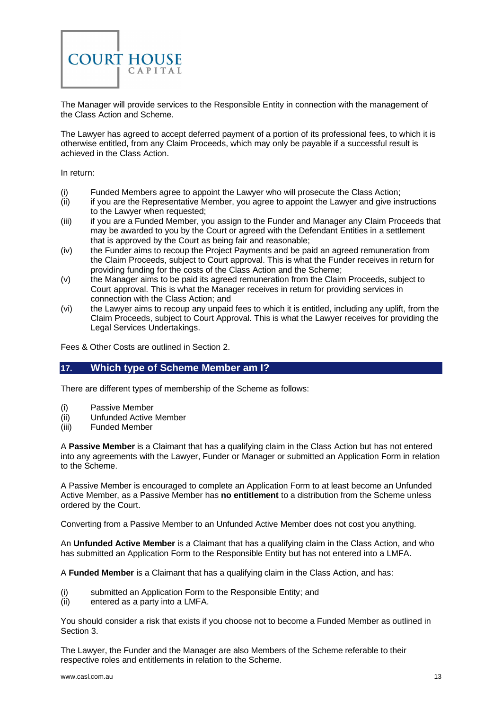

The Manager will provide services to the Responsible Entity in connection with the management of the Class Action and Scheme.

The Lawyer has agreed to accept deferred payment of a portion of its professional fees, to which it is otherwise entitled, from any Claim Proceeds, which may only be payable if a successful result is achieved in the Class Action.

In return:

- (i) Funded Members agree to appoint the Lawyer who will prosecute the Class Action;
- (ii) if you are the Representative Member, you agree to appoint the Lawyer and give instructions to the Lawyer when requested;
- (iii) if you are a Funded Member, you assign to the Funder and Manager any Claim Proceeds that may be awarded to you by the Court or agreed with the Defendant Entities in a settlement that is approved by the Court as being fair and reasonable;
- (iv) the Funder aims to recoup the Project Payments and be paid an agreed remuneration from the Claim Proceeds, subject to Court approval. This is what the Funder receives in return for providing funding for the costs of the Class Action and the Scheme;
- (v) the Manager aims to be paid its agreed remuneration from the Claim Proceeds, subject to Court approval. This is what the Manager receives in return for providing services in connection with the Class Action; and
- (vi) the Lawyer aims to recoup any unpaid fees to which it is entitled, including any uplift, from the Claim Proceeds, subject to Court Approval. This is what the Lawyer receives for providing the Legal Services Undertakings.

<span id="page-12-0"></span>Fees & Other Costs are outlined in Section [2.](#page-4-2)

#### **17. Which type of Scheme Member am I?**

There are different types of membership of the Scheme as follows:

- (i) Passive Member
- (ii) Unfunded Active Member
- (iii) Funded Member

A **Passive Member** is a Claimant that has a qualifying claim in the Class Action but has not entered into any agreements with the Lawyer, Funder or Manager or submitted an Application Form in relation to the Scheme.

A Passive Member is encouraged to complete an Application Form to at least become an Unfunded Active Member, as a Passive Member has **no entitlement** to a distribution from the Scheme unless ordered by the Court.

Converting from a Passive Member to an Unfunded Active Member does not cost you anything.

An **Unfunded Active Member** is a Claimant that has a qualifying claim in the Class Action, and who has submitted an Application Form to the Responsible Entity but has not entered into a LMFA.

A **Funded Member** is a Claimant that has a qualifying claim in the Class Action, and has:

- (i) submitted an Application Form to the Responsible Entity; and
- (ii) entered as a party into a LMFA.

You should consider a risk that exists if you choose not to become a Funded Member as outlined in Section [3.](#page-5-0)

The Lawyer, the Funder and the Manager are also Members of the Scheme referable to their respective roles and entitlements in relation to the Scheme.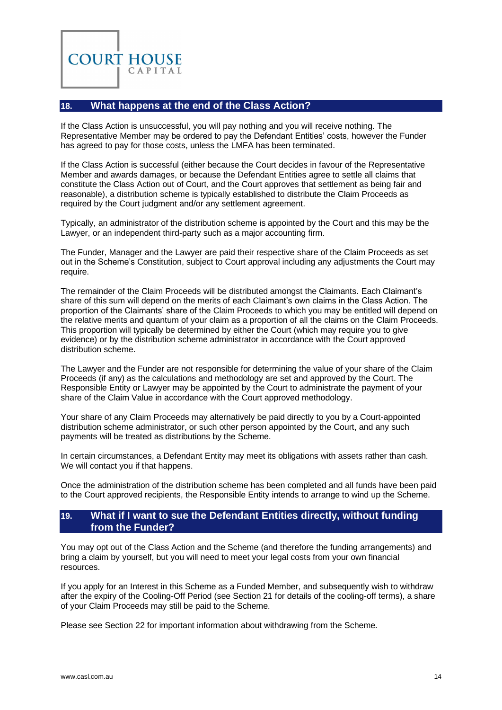

## <span id="page-13-0"></span>**18. What happens at the end of the Class Action?**

If the Class Action is unsuccessful, you will pay nothing and you will receive nothing. The Representative Member may be ordered to pay the Defendant Entities' costs, however the Funder has agreed to pay for those costs, unless the LMFA has been terminated.

If the Class Action is successful (either because the Court decides in favour of the Representative Member and awards damages, or because the Defendant Entities agree to settle all claims that constitute the Class Action out of Court, and the Court approves that settlement as being fair and reasonable), a distribution scheme is typically established to distribute the Claim Proceeds as required by the Court judgment and/or any settlement agreement.

Typically, an administrator of the distribution scheme is appointed by the Court and this may be the Lawyer, or an independent third-party such as a major accounting firm.

The Funder, Manager and the Lawyer are paid their respective share of the Claim Proceeds as set out in the Scheme's Constitution, subject to Court approval including any adjustments the Court may require.

The remainder of the Claim Proceeds will be distributed amongst the Claimants. Each Claimant's share of this sum will depend on the merits of each Claimant's own claims in the Class Action. The proportion of the Claimants' share of the Claim Proceeds to which you may be entitled will depend on the relative merits and quantum of your claim as a proportion of all the claims on the Claim Proceeds. This proportion will typically be determined by either the Court (which may require you to give evidence) or by the distribution scheme administrator in accordance with the Court approved distribution scheme.

The Lawyer and the Funder are not responsible for determining the value of your share of the Claim Proceeds (if any) as the calculations and methodology are set and approved by the Court. The Responsible Entity or Lawyer may be appointed by the Court to administrate the payment of your share of the Claim Value in accordance with the Court approved methodology.

Your share of any Claim Proceeds may alternatively be paid directly to you by a Court-appointed distribution scheme administrator, or such other person appointed by the Court, and any such payments will be treated as distributions by the Scheme.

In certain circumstances, a Defendant Entity may meet its obligations with assets rather than cash. We will contact you if that happens.

Once the administration of the distribution scheme has been completed and all funds have been paid to the Court approved recipients, the Responsible Entity intends to arrange to wind up the Scheme.

## <span id="page-13-1"></span>**19. What if I want to sue the Defendant Entities directly, without funding from the Funder?**

You may opt out of the Class Action and the Scheme (and therefore the funding arrangements) and bring a claim by yourself, but you will need to meet your legal costs from your own financial resources.

If you apply for an Interest in this Scheme as a Funded Member, and subsequently wish to withdraw after the expiry of the Cooling-Off Period (see Section [21](#page-14-1) for details of the cooling-off terms), a share of your Claim Proceeds may still be paid to the Scheme.

Please see Section [22](#page-14-2) for important information about withdrawing from the Scheme.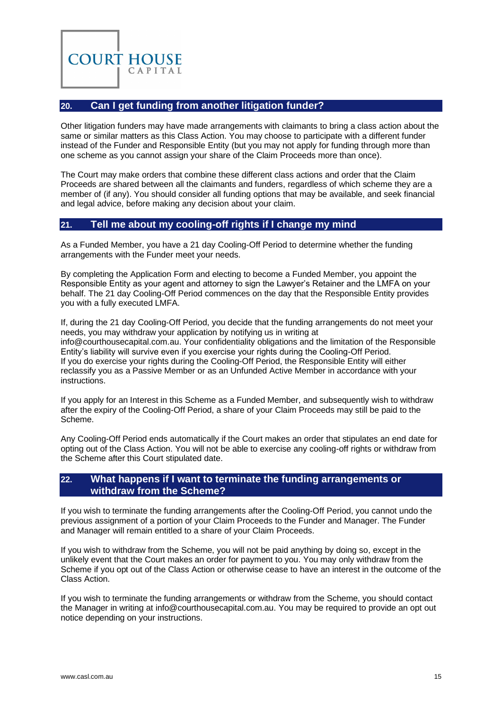

## <span id="page-14-0"></span>**20. Can I get funding from another litigation funder?**

Other litigation funders may have made arrangements with claimants to bring a class action about the same or similar matters as this Class Action. You may choose to participate with a different funder instead of the Funder and Responsible Entity (but you may not apply for funding through more than one scheme as you cannot assign your share of the Claim Proceeds more than once).

The Court may make orders that combine these different class actions and order that the Claim Proceeds are shared between all the claimants and funders, regardless of which scheme they are a member of (if any). You should consider all funding options that may be available, and seek financial and legal advice, before making any decision about your claim.

## <span id="page-14-1"></span>**21. Tell me about my cooling-off rights if I change my mind**

As a Funded Member, you have a 21 day Cooling-Off Period to determine whether the funding arrangements with the Funder meet your needs.

By completing the Application Form and electing to become a Funded Member, you appoint the Responsible Entity as your agent and attorney to sign the Lawyer's Retainer and the LMFA on your behalf. The 21 day Cooling-Off Period commences on the day that the Responsible Entity provides you with a fully executed LMFA.

If, during the 21 day Cooling-Off Period, you decide that the funding arrangements do not meet your needs, you may withdraw your application by notifying us in writing at [info@courthousecapital.com.au.](mailto:info@courthousecapital.com.au) Your confidentiality obligations and the limitation of the Responsible Entity's liability will survive even if you exercise your rights during the Cooling-Off Period. If you do exercise your rights during the Cooling-Off Period, the Responsible Entity will either reclassify you as a Passive Member or as an Unfunded Active Member in accordance with your instructions.

If you apply for an Interest in this Scheme as a Funded Member, and subsequently wish to withdraw after the expiry of the Cooling-Off Period, a share of your Claim Proceeds may still be paid to the Scheme.

Any Cooling-Off Period ends automatically if the Court makes an order that stipulates an end date for opting out of the Class Action. You will not be able to exercise any cooling-off rights or withdraw from the Scheme after this Court stipulated date.

## <span id="page-14-2"></span>**22. What happens if I want to terminate the funding arrangements or withdraw from the Scheme?**

If you wish to terminate the funding arrangements after the Cooling-Off Period, you cannot undo the previous assignment of a portion of your Claim Proceeds to the Funder and Manager. The Funder and Manager will remain entitled to a share of your Claim Proceeds.

If you wish to withdraw from the Scheme, you will not be paid anything by doing so, except in the unlikely event that the Court makes an order for payment to you. You may only withdraw from the Scheme if you opt out of the Class Action or otherwise cease to have an interest in the outcome of the Class Action.

If you wish to terminate the funding arrangements or withdraw from the Scheme, you should contact the Manager in writing at [info@courthousecapital.com.au.](mailto:info@courthousecapital.com.au) You may be required to provide an opt out notice depending on your instructions.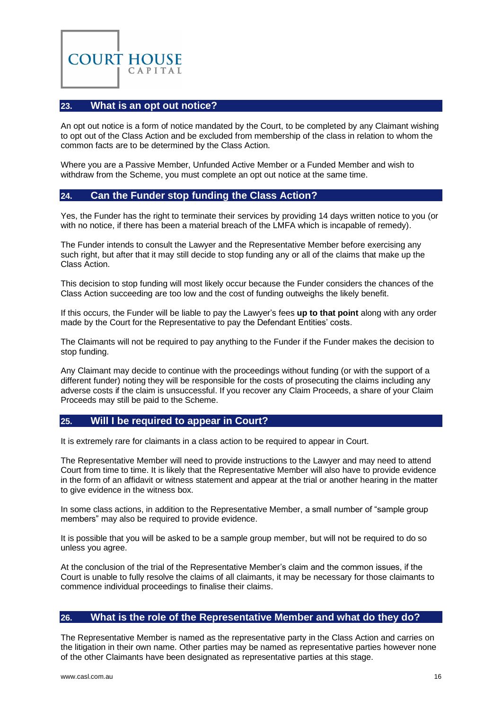

## <span id="page-15-0"></span>**23. What is an opt out notice?**

An opt out notice is a form of notice mandated by the Court, to be completed by any Claimant wishing to opt out of the Class Action and be excluded from membership of the class in relation to whom the common facts are to be determined by the Class Action.

Where you are a Passive Member, Unfunded Active Member or a Funded Member and wish to withdraw from the Scheme, you must complete an opt out notice at the same time.

#### <span id="page-15-1"></span>**24. Can the Funder stop funding the Class Action?**

Yes, the Funder has the right to terminate their services by providing 14 days written notice to you (or with no notice, if there has been a material breach of the LMFA which is incapable of remedy).

The Funder intends to consult the Lawyer and the Representative Member before exercising any such right, but after that it may still decide to stop funding any or all of the claims that make up the Class Action.

This decision to stop funding will most likely occur because the Funder considers the chances of the Class Action succeeding are too low and the cost of funding outweighs the likely benefit.

If this occurs, the Funder will be liable to pay the Lawyer's fees **up to that point** along with any order made by the Court for the Representative to pay the Defendant Entities' costs.

The Claimants will not be required to pay anything to the Funder if the Funder makes the decision to stop funding.

Any Claimant may decide to continue with the proceedings without funding (or with the support of a different funder) noting they will be responsible for the costs of prosecuting the claims including any adverse costs if the claim is unsuccessful. If you recover any Claim Proceeds, a share of your Claim Proceeds may still be paid to the Scheme.

#### <span id="page-15-2"></span>**25. Will I be required to appear in Court?**

It is extremely rare for claimants in a class action to be required to appear in Court.

The Representative Member will need to provide instructions to the Lawyer and may need to attend Court from time to time. It is likely that the Representative Member will also have to provide evidence in the form of an affidavit or witness statement and appear at the trial or another hearing in the matter to give evidence in the witness box.

In some class actions, in addition to the Representative Member, a small number of "sample group members" may also be required to provide evidence.

It is possible that you will be asked to be a sample group member, but will not be required to do so unless you agree.

At the conclusion of the trial of the Representative Member's claim and the common issues, if the Court is unable to fully resolve the claims of all claimants, it may be necessary for those claimants to commence individual proceedings to finalise their claims.

#### <span id="page-15-3"></span>**26. What is the role of the Representative Member and what do they do?**

The Representative Member is named as the representative party in the Class Action and carries on the litigation in their own name. Other parties may be named as representative parties however none of the other Claimants have been designated as representative parties at this stage.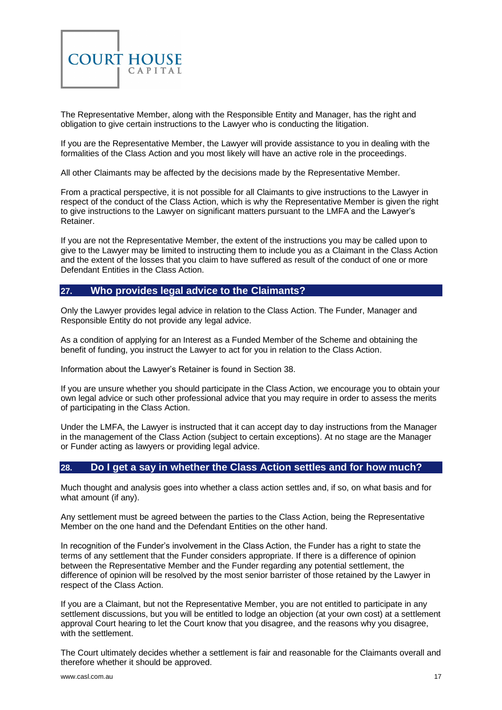

The Representative Member, along with the Responsible Entity and Manager, has the right and obligation to give certain instructions to the Lawyer who is conducting the litigation.

If you are the Representative Member, the Lawyer will provide assistance to you in dealing with the formalities of the Class Action and you most likely will have an active role in the proceedings.

All other Claimants may be affected by the decisions made by the Representative Member.

From a practical perspective, it is not possible for all Claimants to give instructions to the Lawyer in respect of the conduct of the Class Action, which is why the Representative Member is given the right to give instructions to the Lawyer on significant matters pursuant to the LMFA and the Lawyer's Retainer.

If you are not the Representative Member, the extent of the instructions you may be called upon to give to the Lawyer may be limited to instructing them to include you as a Claimant in the Class Action and the extent of the losses that you claim to have suffered as result of the conduct of one or more Defendant Entities in the Class Action.

## <span id="page-16-0"></span>**27. Who provides legal advice to the Claimants?**

Only the Lawyer provides legal advice in relation to the Class Action. The Funder, Manager and Responsible Entity do not provide any legal advice.

As a condition of applying for an Interest as a Funded Member of the Scheme and obtaining the benefit of funding, you instruct the Lawyer to act for you in relation to the Class Action.

Information about the Lawyer's Retainer is found in Sectio[n 38.](#page-22-2)

If you are unsure whether you should participate in the Class Action, we encourage you to obtain your own legal advice or such other professional advice that you may require in order to assess the merits of participating in the Class Action.

Under the LMFA, the Lawyer is instructed that it can accept day to day instructions from the Manager in the management of the Class Action (subject to certain exceptions). At no stage are the Manager or Funder acting as lawyers or providing legal advice.

#### <span id="page-16-1"></span>**28. Do I get a say in whether the Class Action settles and for how much?**

Much thought and analysis goes into whether a class action settles and, if so, on what basis and for what amount (if any).

Any settlement must be agreed between the parties to the Class Action, being the Representative Member on the one hand and the Defendant Entities on the other hand.

In recognition of the Funder's involvement in the Class Action, the Funder has a right to state the terms of any settlement that the Funder considers appropriate. If there is a difference of opinion between the Representative Member and the Funder regarding any potential settlement, the difference of opinion will be resolved by the most senior barrister of those retained by the Lawyer in respect of the Class Action.

If you are a Claimant, but not the Representative Member, you are not entitled to participate in any settlement discussions, but you will be entitled to lodge an objection (at your own cost) at a settlement approval Court hearing to let the Court know that you disagree, and the reasons why you disagree, with the settlement.

The Court ultimately decides whether a settlement is fair and reasonable for the Claimants overall and therefore whether it should be approved.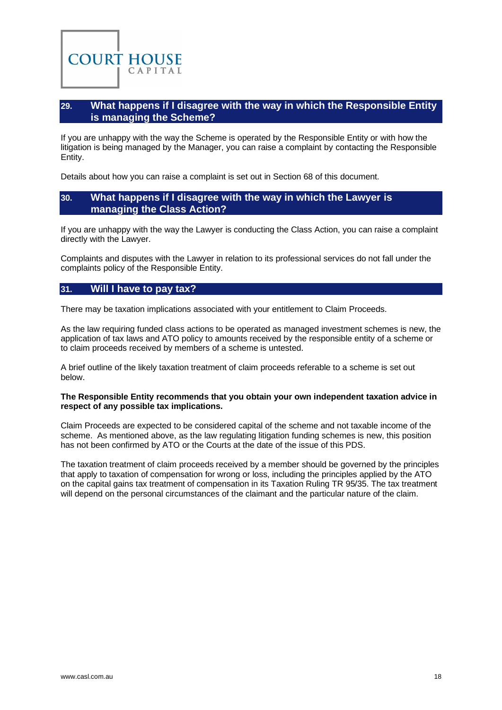<span id="page-17-0"></span>

If you are unhappy with the way the Scheme is operated by the Responsible Entity or with how the litigation is being managed by the Manager, you can raise a complaint by contacting the Responsible Entity.

<span id="page-17-1"></span>Details about how you can raise a complaint is set out in Section [68](#page-32-2) of this document.

#### **30. What happens if I disagree with the way in which the Lawyer is managing the Class Action?**

If you are unhappy with the way the Lawyer is conducting the Class Action, you can raise a complaint directly with the Lawyer.

Complaints and disputes with the Lawyer in relation to its professional services do not fall under the complaints policy of the Responsible Entity.

#### <span id="page-17-2"></span>**31. Will I have to pay tax?**

**COURT HOUSE** 

CAPITAL

There may be taxation implications associated with your entitlement to Claim Proceeds.

As the law requiring funded class actions to be operated as managed investment schemes is new, the application of tax laws and ATO policy to amounts received by the responsible entity of a scheme or to claim proceeds received by members of a scheme is untested.

A brief outline of the likely taxation treatment of claim proceeds referable to a scheme is set out below.

#### **The Responsible Entity recommends that you obtain your own independent taxation advice in respect of any possible tax implications.**

Claim Proceeds are expected to be considered capital of the scheme and not taxable income of the scheme. As mentioned above, as the law regulating litigation funding schemes is new, this position has not been confirmed by ATO or the Courts at the date of the issue of this PDS.

The taxation treatment of claim proceeds received by a member should be governed by the principles that apply to taxation of compensation for wrong or loss, including the principles applied by the ATO on the capital gains tax treatment of compensation in its Taxation Ruling TR 95/35. The tax treatment will depend on the personal circumstances of the claimant and the particular nature of the claim.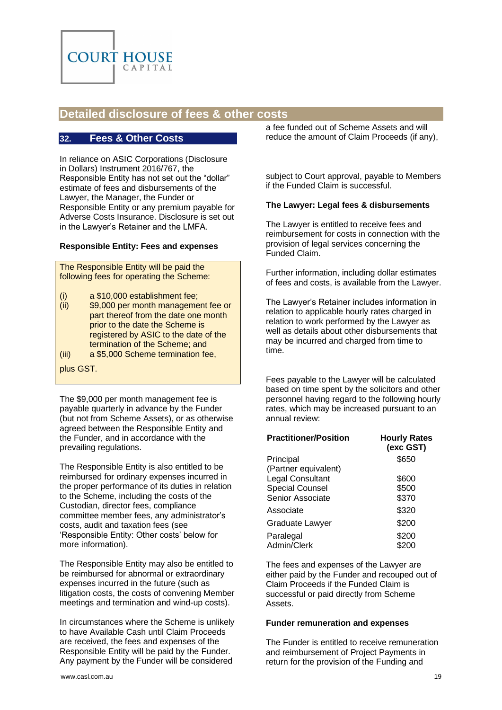

# <span id="page-18-0"></span>**Detailed disclosure of fees & other costs**

#### <span id="page-18-1"></span>**32. Fees & Other Costs**

In reliance on ASIC Corporations (Disclosure in Dollars) Instrument 2016/767, the Responsible Entity has not set out the "dollar" estimate of fees and disbursements of the Lawyer, the Manager, the Funder or Responsible Entity or any premium payable for Adverse Costs Insurance. Disclosure is set out in the Lawyer's Retainer and the LMFA.

#### **Responsible Entity: Fees and expenses**

The Responsible Entity will be paid the following fees for operating the Scheme:

- (i) a \$10,000 establishment fee;
- (ii) \$9,000 per month management fee or part thereof from the date one month prior to the date the Scheme is registered by ASIC to the date of the termination of the Scheme; and
- (iii) a \$5,000 Scheme termination fee,
- plus GST.

The \$9,000 per month management fee is payable quarterly in advance by the Funder (but not from Scheme Assets), or as otherwise agreed between the Responsible Entity and the Funder, and in accordance with the prevailing regulations.

The Responsible Entity is also entitled to be reimbursed for ordinary expenses incurred in the proper performance of its duties in relation to the Scheme, including the costs of the Custodian, director fees, compliance committee member fees, any administrator's costs, audit and taxation fees (see 'Responsible Entity: Other costs' below for more information).

The Responsible Entity may also be entitled to be reimbursed for abnormal or extraordinary expenses incurred in the future (such as litigation costs, the costs of convening Member meetings and termination and wind-up costs).

In circumstances where the Scheme is unlikely to have Available Cash until Claim Proceeds are received, the fees and expenses of the Responsible Entity will be paid by the Funder. Any payment by the Funder will be considered

a fee funded out of Scheme Assets and will reduce the amount of Claim Proceeds (if any),

subject to Court approval, payable to Members if the Funded Claim is successful.

#### **The Lawyer: Legal fees & disbursements**

The Lawyer is entitled to receive fees and reimbursement for costs in connection with the provision of legal services concerning the Funded Claim.

Further information, including dollar estimates of fees and costs, is available from the Lawyer.

The Lawyer's Retainer includes information in relation to applicable hourly rates charged in relation to work performed by the Lawyer as well as details about other disbursements that may be incurred and charged from time to time.

Fees payable to the Lawyer will be calculated based on time spent by the solicitors and other personnel having regard to the following hourly rates, which may be increased pursuant to an annual review:

| <b>Practitioner/Position</b> | <b>Hourly Rates</b><br>(exc GST) |
|------------------------------|----------------------------------|
| Principal                    | \$650                            |
| (Partner equivalent)         |                                  |
| Legal Consultant             | \$600                            |
| <b>Special Counsel</b>       | \$500                            |
| Senior Associate             | \$370                            |
| Associate                    | \$320                            |
| Graduate Lawyer              | \$200                            |
| Paralegal                    | \$200                            |
| Admin/Clerk                  |                                  |

The fees and expenses of the Lawyer are either paid by the Funder and recouped out of Claim Proceeds if the Funded Claim is successful or paid directly from Scheme Assets.

#### **Funder remuneration and expenses**

The Funder is entitled to receive remuneration and reimbursement of Project Payments in return for the provision of the Funding and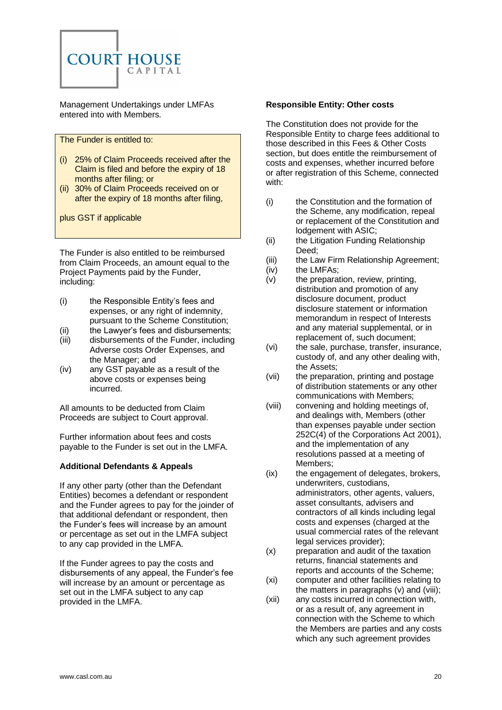

Management Undertakings under LMFAs entered into with Members.

The Funder is entitled to:

- (i) 25% of Claim Proceeds received after the Claim is filed and before the expiry of 18 months after filing; or
- (ii) 30% of Claim Proceeds received on or after the expiry of 18 months after filing,

plus GST if applicable

The Funder is also entitled to be reimbursed from Claim Proceeds, an amount equal to the Project Payments paid by the Funder, including:

- (i) the Responsible Entity's fees and expenses, or any right of indemnity, pursuant to the Scheme Constitution;
- (ii) the Lawyer's fees and disbursements;
- (iii) disbursements of the Funder, including Adverse costs Order Expenses, and the Manager; and
- (iv) any GST payable as a result of the above costs or expenses being incurred.

All amounts to be deducted from Claim Proceeds are subject to Court approval.

Further information about fees and costs payable to the Funder is set out in the LMFA.

#### **Additional Defendants & Appeals**

If any other party (other than the Defendant Entities) becomes a defendant or respondent and the Funder agrees to pay for the joinder of that additional defendant or respondent, then the Funder's fees will increase by an amount or percentage as set out in the LMFA subject to any cap provided in the LMFA.

If the Funder agrees to pay the costs and disbursements of any appeal, the Funder's fee will increase by an amount or percentage as set out in the LMFA subject to any cap provided in the LMFA.

#### **Responsible Entity: Other costs**

The Constitution does not provide for the Responsible Entity to charge fees additional to those described in this Fees & Other Costs section, but does entitle the reimbursement of costs and expenses, whether incurred before or after registration of this Scheme, connected with:

- (i) the Constitution and the formation of the Scheme, any modification, repeal or replacement of the Constitution and lodgement with ASIC;
- (ii) the Litigation Funding Relationship Deed;
- (iii) the Law Firm Relationship Agreement;
- (iv) the LMFAs;
- (v) the preparation, review, printing, distribution and promotion of any disclosure document, product disclosure statement or information memorandum in respect of Interests and any material supplemental, or in replacement of, such document;
- (vi) the sale, purchase, transfer, insurance, custody of, and any other dealing with, the Assets;
- (vii) the preparation, printing and postage of distribution statements or any other communications with Members;
- (viii) convening and holding meetings of, and dealings with, Members (other than expenses payable under section 252C(4) of the Corporations Act 2001), and the implementation of any resolutions passed at a meeting of Members;
- (ix) the engagement of delegates, brokers, underwriters, custodians, administrators, other agents, valuers, asset consultants, advisers and contractors of all kinds including legal costs and expenses (charged at the usual commercial rates of the relevant legal services provider);
- (x) preparation and audit of the taxation returns, financial statements and reports and accounts of the Scheme;
- (xi) computer and other facilities relating to the matters in paragraphs (v) and (viii);
- (xii) any costs incurred in connection with, or as a result of, any agreement in connection with the Scheme to which the Members are parties and any costs which any such agreement provides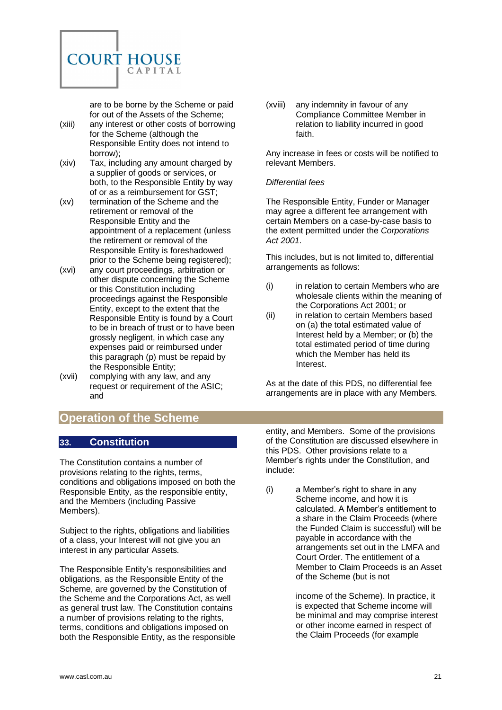

are to be borne by the Scheme or paid for out of the Assets of the Scheme;

- (xiii) any interest or other costs of borrowing for the Scheme (although the Responsible Entity does not intend to borrow);
- (xiv) Tax, including any amount charged by a supplier of goods or services, or both, to the Responsible Entity by way of or as a reimbursement for GST;
- (xv) termination of the Scheme and the retirement or removal of the Responsible Entity and the appointment of a replacement (unless the retirement or removal of the Responsible Entity is foreshadowed prior to the Scheme being registered);
- (xvi) any court proceedings, arbitration or other dispute concerning the Scheme or this Constitution including proceedings against the Responsible Entity, except to the extent that the Responsible Entity is found by a Court to be in breach of trust or to have been grossly negligent, in which case any expenses paid or reimbursed under this paragraph (p) must be repaid by the Responsible Entity;
- (xvii) complying with any law, and any request or requirement of the ASIC; and

# <span id="page-20-0"></span>**Operation of the Scheme**

## <span id="page-20-1"></span>**33. Constitution**

The Constitution contains a number of provisions relating to the rights, terms, conditions and obligations imposed on both the Responsible Entity, as the responsible entity, and the Members (including Passive Members).

Subject to the rights, obligations and liabilities of a class, your Interest will not give you an interest in any particular Assets.

The Responsible Entity's responsibilities and obligations, as the Responsible Entity of the Scheme, are governed by the Constitution of the Scheme and the Corporations Act, as well as general trust law. The Constitution contains a number of provisions relating to the rights, terms, conditions and obligations imposed on both the Responsible Entity, as the responsible (xviii) any indemnity in favour of any Compliance Committee Member in relation to liability incurred in good faith.

Any increase in fees or costs will be notified to relevant Members.

#### *Differential fees*

The Responsible Entity, Funder or Manager may agree a different fee arrangement with certain Members on a case-by-case basis to the extent permitted under the *Corporations Act 2001*.

This includes, but is not limited to, differential arrangements as follows:

- (i) in relation to certain Members who are wholesale clients within the meaning of the Corporations Act 2001; or
- (ii) in relation to certain Members based on (a) the total estimated value of Interest held by a Member; or (b) the total estimated period of time during which the Member has held its Interest.

As at the date of this PDS, no differential fee arrangements are in place with any Members.

entity, and Members. Some of the provisions of the Constitution are discussed elsewhere in this PDS. Other provisions relate to a Member's rights under the Constitution, and include:

(i) a Member's right to share in any Scheme income, and how it is calculated. A Member's entitlement to a share in the Claim Proceeds (where the Funded Claim is successful) will be payable in accordance with the arrangements set out in the LMFA and Court Order. The entitlement of a Member to Claim Proceeds is an Asset of the Scheme (but is not

> income of the Scheme). In practice, it is expected that Scheme income will be minimal and may comprise interest or other income earned in respect of the Claim Proceeds (for example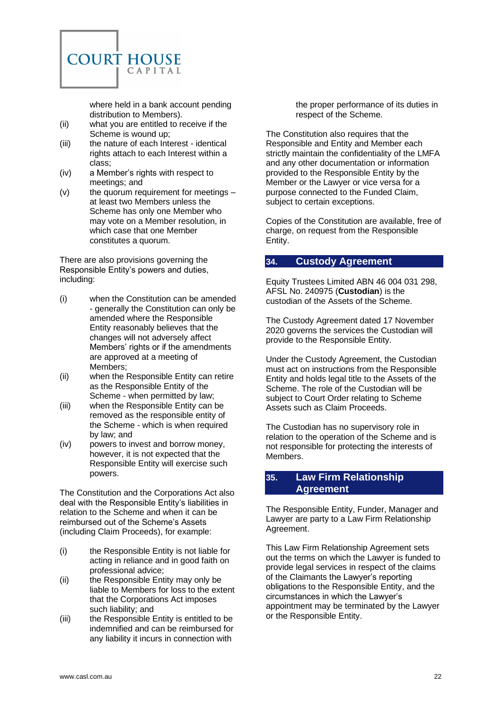

where held in a bank account pending distribution to Members).

- (ii) what you are entitled to receive if the Scheme is wound up;
- (iii) the nature of each Interest identical rights attach to each Interest within a class;
- (iv) a Member's rights with respect to meetings; and
- (v) the quorum requirement for meetings at least two Members unless the Scheme has only one Member who may vote on a Member resolution, in which case that one Member constitutes a quorum.

There are also provisions governing the Responsible Entity's powers and duties, including:

- (i) when the Constitution can be amended - generally the Constitution can only be amended where the Responsible Entity reasonably believes that the changes will not adversely affect Members' rights or if the amendments are approved at a meeting of Members;
- (ii) when the Responsible Entity can retire as the Responsible Entity of the Scheme - when permitted by law;
- (iii) when the Responsible Entity can be removed as the responsible entity of the Scheme - which is when required by law; and
- (iv) powers to invest and borrow money, however, it is not expected that the Responsible Entity will exercise such powers.

The Constitution and the Corporations Act also deal with the Responsible Entity's liabilities in relation to the Scheme and when it can be reimbursed out of the Scheme's Assets (including Claim Proceeds), for example:

- (i) the Responsible Entity is not liable for acting in reliance and in good faith on professional advice;
- (ii) the Responsible Entity may only be liable to Members for loss to the extent that the Corporations Act imposes such liability; and
- (iii) the Responsible Entity is entitled to be indemnified and can be reimbursed for any liability it incurs in connection with

the proper performance of its duties in respect of the Scheme.

The Constitution also requires that the Responsible and Entity and Member each strictly maintain the confidentiality of the LMFA and any other documentation or information provided to the Responsible Entity by the Member or the Lawyer or vice versa for a purpose connected to the Funded Claim, subject to certain exceptions.

Copies of the Constitution are available, free of charge, on request from the Responsible Entity.

## <span id="page-21-0"></span>**34. Custody Agreement**

Equity Trustees Limited ABN 46 004 031 298, AFSL No. 240975 (**Custodian**) is the custodian of the Assets of the Scheme.

The Custody Agreement dated 17 November 2020 governs the services the Custodian will provide to the Responsible Entity.

Under the Custody Agreement, the Custodian must act on instructions from the Responsible Entity and holds legal title to the Assets of the Scheme. The role of the Custodian will be subject to Court Order relating to Scheme Assets such as Claim Proceeds.

The Custodian has no supervisory role in relation to the operation of the Scheme and is not responsible for protecting the interests of Members.

## <span id="page-21-1"></span>**35. Law Firm Relationship Agreement**

The Responsible Entity, Funder, Manager and Lawyer are party to a Law Firm Relationship Agreement.

This Law Firm Relationship Agreement sets out the terms on which the Lawyer is funded to provide legal services in respect of the claims of the Claimants the Lawyer's reporting obligations to the Responsible Entity, and the circumstances in which the Lawyer's appointment may be terminated by the Lawyer or the Responsible Entity.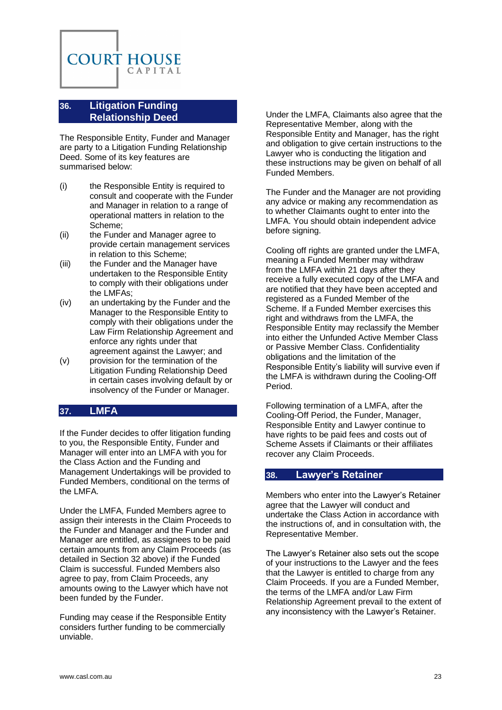

## <span id="page-22-0"></span>**36. Litigation Funding Relationship Deed**

The Responsible Entity, Funder and Manager are party to a Litigation Funding Relationship Deed. Some of its key features are summarised below:

- (i) the Responsible Entity is required to consult and cooperate with the Funder and Manager in relation to a range of operational matters in relation to the Scheme;
- (ii) the Funder and Manager agree to provide certain management services in relation to this Scheme;
- (iii) the Funder and the Manager have undertaken to the Responsible Entity to comply with their obligations under the LMFAs;
- (iv) an undertaking by the Funder and the Manager to the Responsible Entity to comply with their obligations under the Law Firm Relationship Agreement and enforce any rights under that agreement against the Lawyer; and
- (v) provision for the termination of the Litigation Funding Relationship Deed in certain cases involving default by or insolvency of the Funder or Manager.

#### <span id="page-22-1"></span>**37. LMFA**

If the Funder decides to offer litigation funding to you, the Responsible Entity, Funder and Manager will enter into an LMFA with you for the Class Action and the Funding and Management Undertakings will be provided to Funded Members, conditional on the terms of the LMFA.

Under the LMFA, Funded Members agree to assign their interests in the Claim Proceeds to the Funder and Manager and the Funder and Manager are entitled, as assignees to be paid certain amounts from any Claim Proceeds (as detailed in Section [32](#page-18-1) above) if the Funded Claim is successful. Funded Members also agree to pay, from Claim Proceeds, any amounts owing to the Lawyer which have not been funded by the Funder.

Funding may cease if the Responsible Entity considers further funding to be commercially unviable.

Under the LMFA, Claimants also agree that the Representative Member, along with the Responsible Entity and Manager, has the right and obligation to give certain instructions to the Lawyer who is conducting the litigation and these instructions may be given on behalf of all Funded Members.

The Funder and the Manager are not providing any advice or making any recommendation as to whether Claimants ought to enter into the LMFA. You should obtain independent advice before signing.

Cooling off rights are granted under the LMFA, meaning a Funded Member may withdraw from the LMFA within 21 days after they receive a fully executed copy of the LMFA and are notified that they have been accepted and registered as a Funded Member of the Scheme. If a Funded Member exercises this right and withdraws from the LMFA, the Responsible Entity may reclassify the Member into either the Unfunded Active Member Class or Passive Member Class. Confidentiality obligations and the limitation of the Responsible Entity's liability will survive even if the LMFA is withdrawn during the Cooling-Off Period.

Following termination of a LMFA, after the Cooling-Off Period, the Funder, Manager, Responsible Entity and Lawyer continue to have rights to be paid fees and costs out of Scheme Assets if Claimants or their affiliates recover any Claim Proceeds.

#### <span id="page-22-2"></span>**38. Lawyer's Retainer**

Members who enter into the Lawyer's Retainer agree that the Lawyer will conduct and undertake the Class Action in accordance with the instructions of, and in consultation with, the Representative Member.

The Lawyer's Retainer also sets out the scope of your instructions to the Lawyer and the fees that the Lawyer is entitled to charge from any Claim Proceeds. If you are a Funded Member, the terms of the LMFA and/or Law Firm Relationship Agreement prevail to the extent of any inconsistency with the Lawyer's Retainer.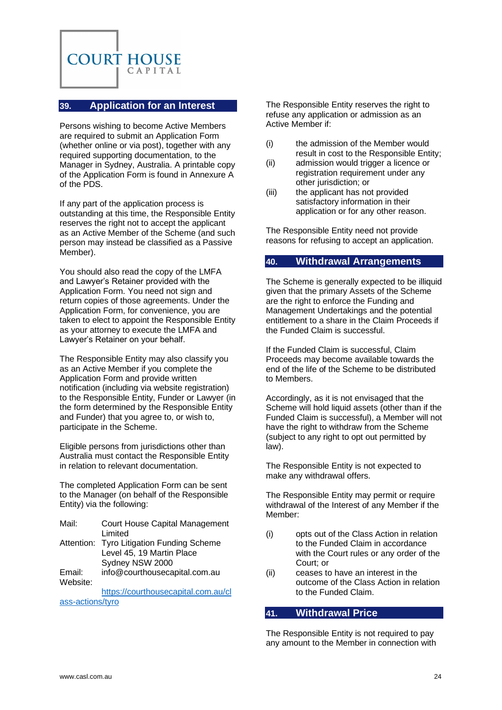

## <span id="page-23-0"></span>**39. Application for an Interest**

Persons wishing to become Active Members are required to submit an Application Form (whether online or via post), together with any required supporting documentation, to the Manager in Sydney, Australia. A printable copy of the Application Form is found in [Annexure](#page-38-0) A of the PDS.

If any part of the application process is outstanding at this time, the Responsible Entity reserves the right not to accept the applicant as an Active Member of the Scheme (and such person may instead be classified as a Passive Member).

You should also read the copy of the LMFA and Lawyer's Retainer provided with the Application Form. You need not sign and return copies of those agreements. Under the Application Form, for convenience, you are taken to elect to appoint the Responsible Entity as your attorney to execute the LMFA and Lawyer's Retainer on your behalf.

The Responsible Entity may also classify you as an Active Member if you complete the Application Form and provide written notification (including via website registration) to the Responsible Entity, Funder or Lawyer (in the form determined by the Responsible Entity and Funder) that you agree to, or wish to, participate in the Scheme.

Eligible persons from jurisdictions other than Australia must contact the Responsible Entity in relation to relevant documentation.

The completed Application Form can be sent to the Manager (on behalf of the Responsible Entity) via the following:

| Mail: | Court House Capital Management            |
|-------|-------------------------------------------|
|       | Limited                                   |
|       | Attention: Tyro Litigation Funding Scheme |
|       | Level 45, 19 Martin Place                 |
|       | Sydney NSW 2000                           |

Email: info@courthousecapital.com.au Website:

[https://courthousecapital.com.au/cl](https://courthousecapital.com.au/class-actions/tyro) [ass-actions/tyro](https://courthousecapital.com.au/class-actions/tyro)

The Responsible Entity reserves the right to refuse any application or admission as an Active Member if:

- (i) the admission of the Member would result in cost to the Responsible Entity;
- (ii) admission would trigger a licence or registration requirement under any other jurisdiction; or
- (iii) the applicant has not provided satisfactory information in their application or for any other reason.

The Responsible Entity need not provide reasons for refusing to accept an application.

## <span id="page-23-1"></span>**40. Withdrawal Arrangements**

The Scheme is generally expected to be illiquid given that the primary Assets of the Scheme are the right to enforce the Funding and Management Undertakings and the potential entitlement to a share in the Claim Proceeds if the Funded Claim is successful.

If the Funded Claim is successful, Claim Proceeds may become available towards the end of the life of the Scheme to be distributed to Members.

Accordingly, as it is not envisaged that the Scheme will hold liquid assets (other than if the Funded Claim is successful), a Member will not have the right to withdraw from the Scheme (subject to any right to opt out permitted by law).

The Responsible Entity is not expected to make any withdrawal offers.

The Responsible Entity may permit or require withdrawal of the Interest of any Member if the Member:

- (i) opts out of the Class Action in relation to the Funded Claim in accordance with the Court rules or any order of the Court; or
- (ii) ceases to have an interest in the outcome of the Class Action in relation to the Funded Claim.

## <span id="page-23-2"></span>**41. Withdrawal Price**

The Responsible Entity is not required to pay any amount to the Member in connection with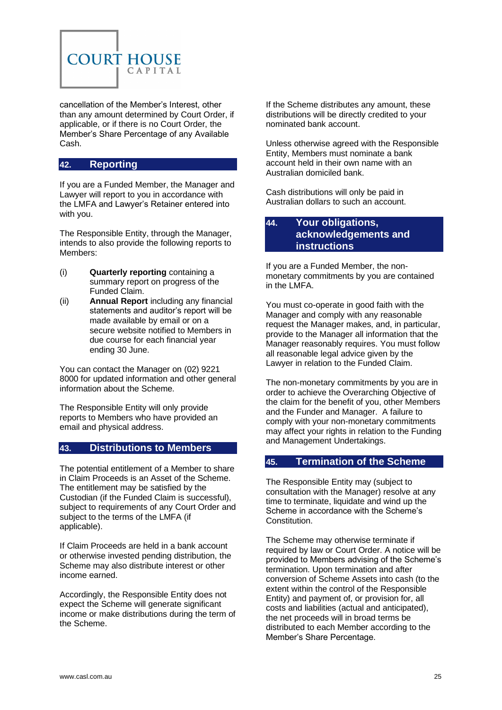

cancellation of the Member's Interest, other than any amount determined by Court Order, if applicable, or if there is no Court Order, the Member's Share Percentage of any Available Cash.

## <span id="page-24-0"></span>**42. Reporting**

If you are a Funded Member, the Manager and Lawyer will report to you in accordance with the LMFA and Lawyer's Retainer entered into with you.

The Responsible Entity, through the Manager, intends to also provide the following reports to Members:

- (i) **Quarterly reporting** containing a summary report on progress of the Funded Claim.
- (ii) **Annual Report** including any financial statements and auditor's report will be made available by email or on a secure website notified to Members in due course for each financial year ending 30 June.

You can contact the Manager on (02) 9221 8000 for updated information and other general information about the Scheme.

The Responsible Entity will only provide reports to Members who have provided an email and physical address.

#### <span id="page-24-1"></span>**43. Distributions to Members**

The potential entitlement of a Member to share in Claim Proceeds is an Asset of the Scheme. The entitlement may be satisfied by the Custodian (if the Funded Claim is successful), subject to requirements of any Court Order and subject to the terms of the LMFA (if applicable).

If Claim Proceeds are held in a bank account or otherwise invested pending distribution, the Scheme may also distribute interest or other income earned.

Accordingly, the Responsible Entity does not expect the Scheme will generate significant income or make distributions during the term of the Scheme.

If the Scheme distributes any amount, these distributions will be directly credited to your nominated bank account.

Unless otherwise agreed with the Responsible Entity, Members must nominate a bank account held in their own name with an Australian domiciled bank.

Cash distributions will only be paid in Australian dollars to such an account.

#### <span id="page-24-2"></span>**44. Your obligations, acknowledgements and instructions**

If you are a Funded Member, the nonmonetary commitments by you are contained in the LMFA.

You must co-operate in good faith with the Manager and comply with any reasonable request the Manager makes, and, in particular, provide to the Manager all information that the Manager reasonably requires. You must follow all reasonable legal advice given by the Lawyer in relation to the Funded Claim.

The non-monetary commitments by you are in order to achieve the Overarching Objective of the claim for the benefit of you, other Members and the Funder and Manager. A failure to comply with your non-monetary commitments may affect your rights in relation to the Funding and Management Undertakings.

#### <span id="page-24-3"></span>**45. Termination of the Scheme**

The Responsible Entity may (subject to consultation with the Manager) resolve at any time to terminate, liquidate and wind up the Scheme in accordance with the Scheme's Constitution.

The Scheme may otherwise terminate if required by law or Court Order. A notice will be provided to Members advising of the Scheme's termination. Upon termination and after conversion of Scheme Assets into cash (to the extent within the control of the Responsible Entity) and payment of, or provision for, all costs and liabilities (actual and anticipated), the net proceeds will in broad terms be distributed to each Member according to the Member's Share Percentage.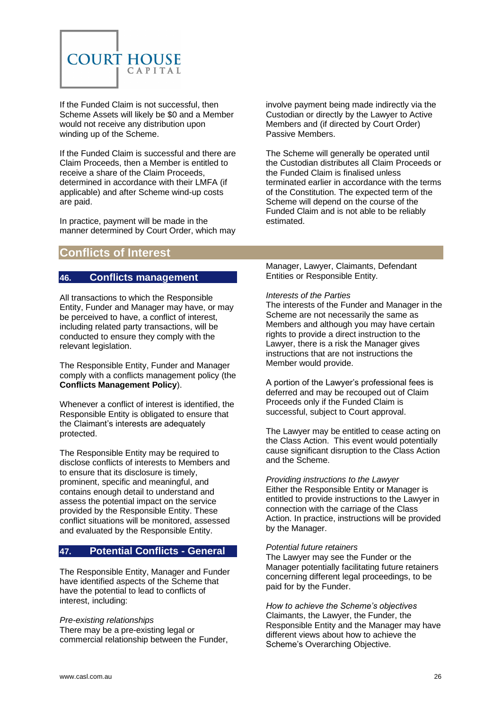

If the Funded Claim is not successful, then Scheme Assets will likely be \$0 and a Member would not receive any distribution upon winding up of the Scheme.

If the Funded Claim is successful and there are Claim Proceeds, then a Member is entitled to receive a share of the Claim Proceeds, determined in accordance with their LMFA (if applicable) and after Scheme wind-up costs are paid.

In practice, payment will be made in the manner determined by Court Order, which may

# <span id="page-25-0"></span>**Conflicts of Interest**

## <span id="page-25-1"></span>**46. Conflicts management**

All transactions to which the Responsible Entity, Funder and Manager may have, or may be perceived to have, a conflict of interest, including related party transactions, will be conducted to ensure they comply with the relevant legislation.

The Responsible Entity, Funder and Manager comply with a conflicts management policy (the **Conflicts Management Policy**).

Whenever a conflict of interest is identified, the Responsible Entity is obligated to ensure that the Claimant's interests are adequately protected.

The Responsible Entity may be required to disclose conflicts of interests to Members and to ensure that its disclosure is timely, prominent, specific and meaningful, and contains enough detail to understand and assess the potential impact on the service provided by the Responsible Entity. These conflict situations will be monitored, assessed and evaluated by the Responsible Entity.

## <span id="page-25-2"></span>**47. Potential Conflicts - General**

The Responsible Entity, Manager and Funder have identified aspects of the Scheme that have the potential to lead to conflicts of interest, including:

*Pre-existing relationships* There may be a pre-existing legal or commercial relationship between the Funder, involve payment being made indirectly via the Custodian or directly by the Lawyer to Active Members and (if directed by Court Order) Passive Members.

The Scheme will generally be operated until the Custodian distributes all Claim Proceeds or the Funded Claim is finalised unless terminated earlier in accordance with the terms of the Constitution. The expected term of the Scheme will depend on the course of the Funded Claim and is not able to be reliably estimated.

Manager, Lawyer, Claimants, Defendant Entities or Responsible Entity.

#### *Interests of the Parties*

The interests of the Funder and Manager in the Scheme are not necessarily the same as Members and although you may have certain rights to provide a direct instruction to the Lawyer, there is a risk the Manager gives instructions that are not instructions the Member would provide.

A portion of the Lawyer's professional fees is deferred and may be recouped out of Claim Proceeds only if the Funded Claim is successful, subject to Court approval.

The Lawyer may be entitled to cease acting on the Class Action. This event would potentially cause significant disruption to the Class Action and the Scheme.

*Providing instructions to the Lawyer* Either the Responsible Entity or Manager is entitled to provide instructions to the Lawyer in connection with the carriage of the Class Action. In practice, instructions will be provided by the Manager.

#### *Potential future retainers*

The Lawyer may see the Funder or the Manager potentially facilitating future retainers concerning different legal proceedings, to be paid for by the Funder.

*How to achieve the Scheme's objectives* Claimants, the Lawyer, the Funder, the Responsible Entity and the Manager may have different views about how to achieve the Scheme's Overarching Objective.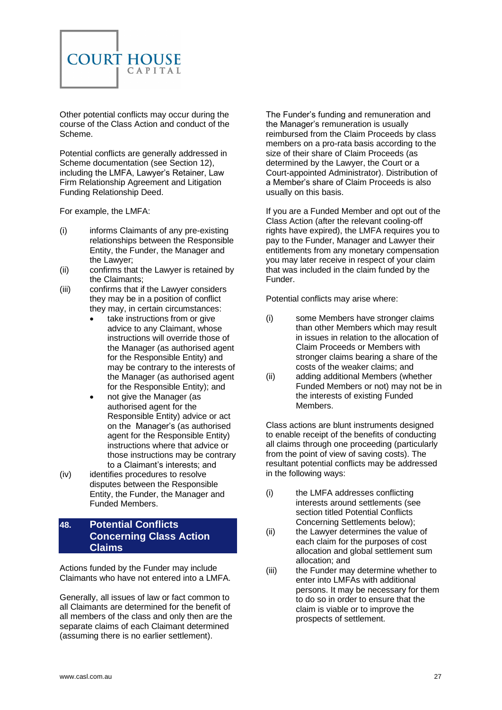

Other potential conflicts may occur during the course of the Class Action and conduct of the Scheme.

Potential conflicts are generally addressed in Scheme documentation (see Section [12\)](#page-10-2), including the LMFA, Lawyer's Retainer, Law Firm Relationship Agreement and Litigation Funding Relationship Deed.

For example, the LMFA:

- (i) informs Claimants of any pre-existing relationships between the Responsible Entity, the Funder, the Manager and the Lawyer;
- (ii) confirms that the Lawyer is retained by the Claimants;
- (iii) confirms that if the Lawyer considers they may be in a position of conflict they may, in certain circumstances:
	- take instructions from or give advice to any Claimant, whose instructions will override those of the Manager (as authorised agent for the Responsible Entity) and may be contrary to the interests of the Manager (as authorised agent for the Responsible Entity); and
	- not give the Manager (as authorised agent for the Responsible Entity) advice or act on the Manager's (as authorised agent for the Responsible Entity) instructions where that advice or those instructions may be contrary to a Claimant's interests; and
- (iv) identifies procedures to resolve disputes between the Responsible Entity, the Funder, the Manager and Funded Members.

## <span id="page-26-0"></span>**48. Potential Conflicts Concerning Class Action Claims**

Actions funded by the Funder may include Claimants who have not entered into a LMFA.

Generally, all issues of law or fact common to all Claimants are determined for the benefit of all members of the class and only then are the separate claims of each Claimant determined (assuming there is no earlier settlement).

The Funder's funding and remuneration and the Manager's remuneration is usually reimbursed from the Claim Proceeds by class members on a pro-rata basis according to the size of their share of Claim Proceeds (as determined by the Lawyer, the Court or a Court-appointed Administrator). Distribution of a Member's share of Claim Proceeds is also usually on this basis.

If you are a Funded Member and opt out of the Class Action (after the relevant cooling-off rights have expired), the LMFA requires you to pay to the Funder, Manager and Lawyer their entitlements from any monetary compensation you may later receive in respect of your claim that was included in the claim funded by the Funder.

Potential conflicts may arise where:

- (i) some Members have stronger claims than other Members which may result in issues in relation to the allocation of Claim Proceeds or Members with stronger claims bearing a share of the costs of the weaker claims; and
- (ii) adding additional Members (whether Funded Members or not) may not be in the interests of existing Funded Members.

Class actions are blunt instruments designed to enable receipt of the benefits of conducting all claims through one proceeding (particularly from the point of view of saving costs). The resultant potential conflicts may be addressed in the following ways:

- (i) the LMFA addresses conflicting interests around settlements (see section titled Potential Conflicts Concerning Settlements below);
- (ii) the Lawyer determines the value of each claim for the purposes of cost allocation and global settlement sum allocation; and
- (iii) the Funder may determine whether to enter into LMFAs with additional persons. It may be necessary for them to do so in order to ensure that the claim is viable or to improve the prospects of settlement.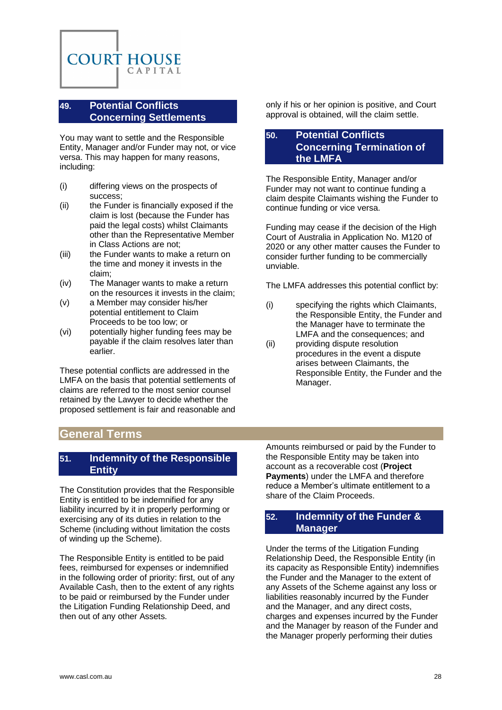

## <span id="page-27-0"></span>**49. Potential Conflicts Concerning Settlements**

You may want to settle and the Responsible Entity, Manager and/or Funder may not, or vice versa. This may happen for many reasons, including:

- (i) differing views on the prospects of success;
- (ii) the Funder is financially exposed if the claim is lost (because the Funder has paid the legal costs) whilst Claimants other than the Representative Member in Class Actions are not;
- (iii) the Funder wants to make a return on the time and money it invests in the claim;
- (iv) The Manager wants to make a return on the resources it invests in the claim;
- (v) a Member may consider his/her potential entitlement to Claim Proceeds to be too low; or
- (vi) potentially higher funding fees may be payable if the claim resolves later than earlier.

These potential conflicts are addressed in the LMFA on the basis that potential settlements of claims are referred to the most senior counsel retained by the Lawyer to decide whether the proposed settlement is fair and reasonable and only if his or her opinion is positive, and Court approval is obtained, will the claim settle.

## <span id="page-27-1"></span>**50. Potential Conflicts Concerning Termination of the LMFA**

The Responsible Entity, Manager and/or Funder may not want to continue funding a claim despite Claimants wishing the Funder to continue funding or vice versa.

Funding may cease if the decision of the High Court of Australia in Application No. M120 of 2020 or any other matter causes the Funder to consider further funding to be commercially unviable.

The LMFA addresses this potential conflict by:

- (i) specifying the rights which Claimants, the Responsible Entity, the Funder and the Manager have to terminate the LMFA and the consequences; and
- (ii) providing dispute resolution procedures in the event a dispute arises between Claimants, the Responsible Entity, the Funder and the Manager.

# <span id="page-27-2"></span>**General Terms**

#### <span id="page-27-3"></span>**51. Indemnity of the Responsible Entity**

The Constitution provides that the Responsible Entity is entitled to be indemnified for any liability incurred by it in properly performing or exercising any of its duties in relation to the Scheme (including without limitation the costs of winding up the Scheme).

The Responsible Entity is entitled to be paid fees, reimbursed for expenses or indemnified in the following order of priority: first, out of any Available Cash, then to the extent of any rights to be paid or reimbursed by the Funder under the Litigation Funding Relationship Deed, and then out of any other Assets.

Amounts reimbursed or paid by the Funder to the Responsible Entity may be taken into account as a recoverable cost (**Project Payments**) under the LMFA and therefore reduce a Member's ultimate entitlement to a share of the Claim Proceeds.

## <span id="page-27-4"></span>**52. Indemnity of the Funder & Manager**

Under the terms of the Litigation Funding Relationship Deed, the Responsible Entity (in its capacity as Responsible Entity) indemnifies the Funder and the Manager to the extent of any Assets of the Scheme against any loss or liabilities reasonably incurred by the Funder and the Manager, and any direct costs, charges and expenses incurred by the Funder and the Manager by reason of the Funder and the Manager properly performing their duties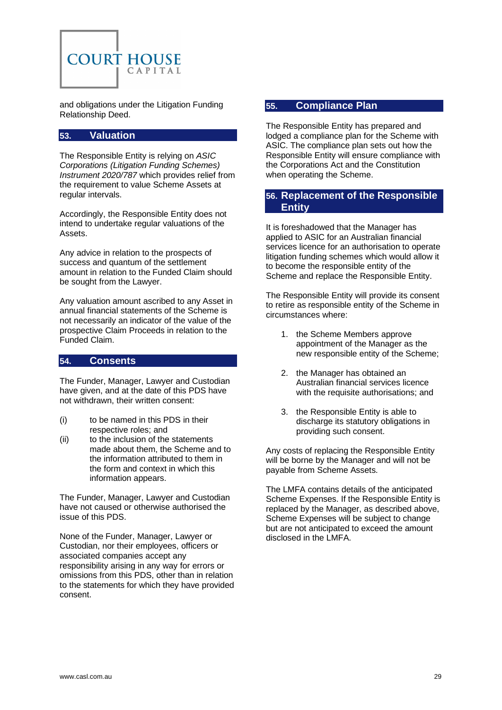

and obligations under the Litigation Funding Relationship Deed.

## <span id="page-28-0"></span>**53. Valuation**

The Responsible Entity is relying on *ASIC Corporations (Litigation Funding Schemes) Instrument 2020/787* which provides relief from the requirement to value Scheme Assets at regular intervals.

Accordingly, the Responsible Entity does not intend to undertake regular valuations of the Assets.

Any advice in relation to the prospects of success and quantum of the settlement amount in relation to the Funded Claim should be sought from the Lawyer.

Any valuation amount ascribed to any Asset in annual financial statements of the Scheme is not necessarily an indicator of the value of the prospective Claim Proceeds in relation to the Funded Claim.

#### <span id="page-28-1"></span>**54. Consents**

The Funder, Manager, Lawyer and Custodian have given, and at the date of this PDS have not withdrawn, their written consent:

- (i) to be named in this PDS in their respective roles; and
- (ii) to the inclusion of the statements made about them, the Scheme and to the information attributed to them in the form and context in which this information appears.

The Funder, Manager, Lawyer and Custodian have not caused or otherwise authorised the issue of this PDS.

None of the Funder, Manager, Lawyer or Custodian, nor their employees, officers or associated companies accept any responsibility arising in any way for errors or omissions from this PDS, other than in relation to the statements for which they have provided consent.

## <span id="page-28-2"></span>**55. Compliance Plan**

The Responsible Entity has prepared and lodged a compliance plan for the Scheme with ASIC. The compliance plan sets out how the Responsible Entity will ensure compliance with the Corporations Act and the Constitution when operating the Scheme.

## <span id="page-28-3"></span>**56. Replacement of the Responsible Entity**

It is foreshadowed that the Manager has applied to ASIC for an Australian financial services licence for an authorisation to operate litigation funding schemes which would allow it to become the responsible entity of the Scheme and replace the Responsible Entity.

The Responsible Entity will provide its consent to retire as responsible entity of the Scheme in circumstances where:

- 1. the Scheme Members approve appointment of the Manager as the new responsible entity of the Scheme;
- 2. the Manager has obtained an Australian financial services licence with the requisite authorisations; and
- 3. the Responsible Entity is able to discharge its statutory obligations in providing such consent.

Any costs of replacing the Responsible Entity will be borne by the Manager and will not be payable from Scheme Assets.

The LMFA contains details of the anticipated Scheme Expenses. If the Responsible Entity is replaced by the Manager, as described above, Scheme Expenses will be subject to change but are not anticipated to exceed the amount disclosed in the LMFA.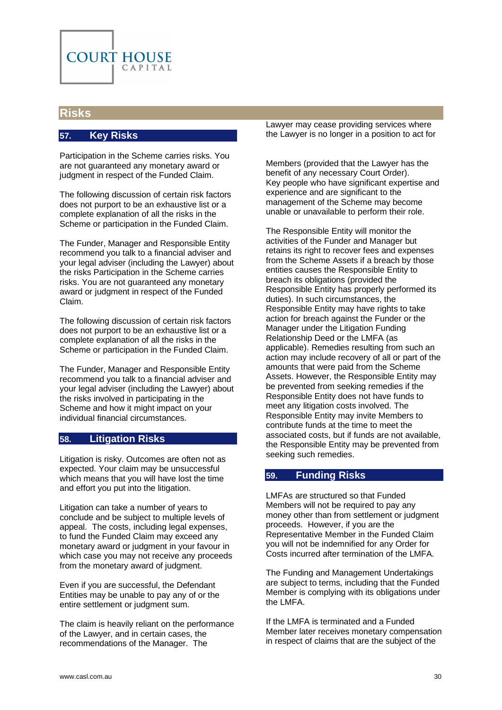

## <span id="page-29-1"></span><span id="page-29-0"></span>**Risks**

#### **57. Key Risks**

Participation in the Scheme carries risks. You are not guaranteed any monetary award or judgment in respect of the Funded Claim.

The following discussion of certain risk factors does not purport to be an exhaustive list or a complete explanation of all the risks in the Scheme or participation in the Funded Claim.

The Funder, Manager and Responsible Entity recommend you talk to a financial adviser and your legal adviser (including the Lawyer) about the risks Participation in the Scheme carries risks. You are not guaranteed any monetary award or judgment in respect of the Funded Claim.

The following discussion of certain risk factors does not purport to be an exhaustive list or a complete explanation of all the risks in the Scheme or participation in the Funded Claim.

The Funder, Manager and Responsible Entity recommend you talk to a financial adviser and your legal adviser (including the Lawyer) about the risks involved in participating in the Scheme and how it might impact on your individual financial circumstances.

## <span id="page-29-2"></span>**58. Litigation Risks**

Litigation is risky. Outcomes are often not as expected. Your claim may be unsuccessful which means that you will have lost the time and effort you put into the litigation.

Litigation can take a number of years to conclude and be subject to multiple levels of appeal. The costs, including legal expenses, to fund the Funded Claim may exceed any monetary award or judgment in your favour in which case you may not receive any proceeds from the monetary award of judgment.

Even if you are successful, the Defendant Entities may be unable to pay any of or the entire settlement or judgment sum.

The claim is heavily reliant on the performance of the Lawyer, and in certain cases, the recommendations of the Manager. The

Lawyer may cease providing services where the Lawyer is no longer in a position to act for

Members (provided that the Lawyer has the benefit of any necessary Court Order). Key people who have significant expertise and experience and are significant to the management of the Scheme may become unable or unavailable to perform their role.

The Responsible Entity will monitor the activities of the Funder and Manager but retains its right to recover fees and expenses from the Scheme Assets if a breach by those entities causes the Responsible Entity to breach its obligations (provided the Responsible Entity has properly performed its duties). In such circumstances, the Responsible Entity may have rights to take action for breach against the Funder or the Manager under the Litigation Funding Relationship Deed or the LMFA (as applicable). Remedies resulting from such an action may include recovery of all or part of the amounts that were paid from the Scheme Assets. However, the Responsible Entity may be prevented from seeking remedies if the Responsible Entity does not have funds to meet any litigation costs involved. The Responsible Entity may invite Members to contribute funds at the time to meet the associated costs, but if funds are not available, the Responsible Entity may be prevented from seeking such remedies.

#### <span id="page-29-3"></span>**59. Funding Risks**

LMFAs are structured so that Funded Members will not be required to pay any money other than from settlement or judgment proceeds. However, if you are the Representative Member in the Funded Claim you will not be indemnified for any Order for Costs incurred after termination of the LMFA.

The Funding and Management Undertakings are subject to terms, including that the Funded Member is complying with its obligations under the LMFA.

If the LMFA is terminated and a Funded Member later receives monetary compensation in respect of claims that are the subject of the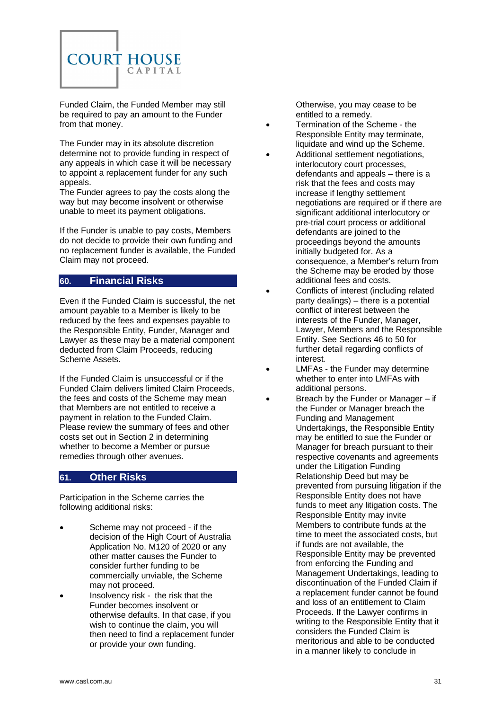

Funded Claim, the Funded Member may still be required to pay an amount to the Funder from that money.

The Funder may in its absolute discretion determine not to provide funding in respect of any appeals in which case it will be necessary to appoint a replacement funder for any such appeals.

The Funder agrees to pay the costs along the way but may become insolvent or otherwise unable to meet its payment obligations.

If the Funder is unable to pay costs, Members do not decide to provide their own funding and no replacement funder is available, the Funded Claim may not proceed.

## <span id="page-30-0"></span>**60. Financial Risks**

Even if the Funded Claim is successful, the net amount payable to a Member is likely to be reduced by the fees and expenses payable to the Responsible Entity, Funder, Manager and Lawyer as these may be a material component deducted from Claim Proceeds, reducing Scheme Assets.

If the Funded Claim is unsuccessful or if the Funded Claim delivers limited Claim Proceeds, the fees and costs of the Scheme may mean that Members are not entitled to receive a payment in relation to the Funded Claim. Please review the summary of fees and other costs set out in Section [2](#page-4-2) in determining whether to become a Member or pursue remedies through other avenues.

#### <span id="page-30-1"></span>**61. Other Risks**

Participation in the Scheme carries the following additional risks:

- Scheme may not proceed if the decision of the High Court of Australia Application No. M120 of 2020 or any other matter causes the Funder to consider further funding to be commercially unviable, the Scheme may not proceed.
- Insolvency risk the risk that the Funder becomes insolvent or otherwise defaults. In that case, if you wish to continue the claim, you will then need to find a replacement funder or provide your own funding.

Otherwise, you may cease to be entitled to a remedy.

- Termination of the Scheme the Responsible Entity may terminate, liquidate and wind up the Scheme.
- Additional settlement negotiations. interlocutory court processes, defendants and appeals – there is a risk that the fees and costs may increase if lengthy settlement negotiations are required or if there are significant additional interlocutory or pre-trial court process or additional defendants are joined to the proceedings beyond the amounts initially budgeted for. As a consequence, a Member's return from the Scheme may be eroded by those additional fees and costs.
- Conflicts of interest (including related party dealings) – there is a potential conflict of interest between the interests of the Funder, Manager, Lawyer, Members and the Responsible Entity. See Sections [46](#page-25-1) to [50](#page-27-1) for further detail regarding conflicts of interest.
- LMFAs the Funder may determine whether to enter into LMFAs with additional persons.
	- Breach by the Funder or Manager if the Funder or Manager breach the Funding and Management Undertakings, the Responsible Entity may be entitled to sue the Funder or Manager for breach pursuant to their respective covenants and agreements under the Litigation Funding Relationship Deed but may be prevented from pursuing litigation if the Responsible Entity does not have funds to meet any litigation costs. The Responsible Entity may invite Members to contribute funds at the time to meet the associated costs, but if funds are not available, the Responsible Entity may be prevented from enforcing the Funding and Management Undertakings, leading to discontinuation of the Funded Claim if a replacement funder cannot be found and loss of an entitlement to Claim Proceeds. If the Lawyer confirms in writing to the Responsible Entity that it considers the Funded Claim is meritorious and able to be conducted in a manner likely to conclude in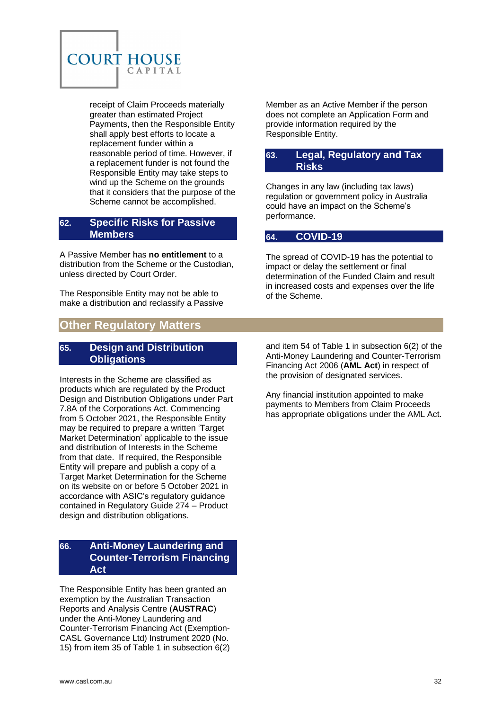

receipt of Claim Proceeds materially greater than estimated Project Payments, then the Responsible Entity shall apply best efforts to locate a replacement funder within a reasonable period of time. However, if a replacement funder is not found the Responsible Entity may take steps to wind up the Scheme on the grounds that it considers that the purpose of the Scheme cannot be accomplished.

#### <span id="page-31-0"></span>**62. Specific Risks for Passive Members**

A Passive Member has **no entitlement** to a distribution from the Scheme or the Custodian, unless directed by Court Order.

The Responsible Entity may not be able to make a distribution and reclassify a Passive

# <span id="page-31-3"></span>**Other Regulatory Matters**

## <span id="page-31-4"></span>**65. Design and Distribution Obligations**

Interests in the Scheme are classified as products which are regulated by the Product Design and Distribution Obligations under Part 7.8A of the Corporations Act. Commencing from 5 October 2021, the Responsible Entity may be required to prepare a written 'Target Market Determination' applicable to the issue and distribution of Interests in the Scheme from that date. If required, the Responsible Entity will prepare and publish a copy of a Target Market Determination for the Scheme on its website on or before 5 October 2021 in accordance with ASIC's regulatory guidance contained in Regulatory Guide 274 – Product design and distribution obligations.

## <span id="page-31-5"></span>**66. Anti-Money Laundering and Counter-Terrorism Financing Act**

The Responsible Entity has been granted an exemption by the Australian Transaction Reports and Analysis Centre (**AUSTRAC**) under the Anti-Money Laundering and Counter-Terrorism Financing Act (Exemption-CASL Governance Ltd) Instrument 2020 (No. 15) from item 35 of Table 1 in subsection 6(2)

Member as an Active Member if the person does not complete an Application Form and provide information required by the Responsible Entity.

## <span id="page-31-1"></span>**63. Legal, Regulatory and Tax Risks**

Changes in any law (including tax laws) regulation or government policy in Australia could have an impact on the Scheme's performance.

## <span id="page-31-2"></span>**64. COVID-19**

The spread of COVID-19 has the potential to impact or delay the settlement or final determination of the Funded Claim and result in increased costs and expenses over the life of the Scheme.

and item 54 of Table 1 in subsection 6(2) of the Anti-Money Laundering and Counter-Terrorism Financing Act 2006 (**AML Act**) in respect of the provision of designated services.

Any financial institution appointed to make payments to Members from Claim Proceeds has appropriate obligations under the AML Act.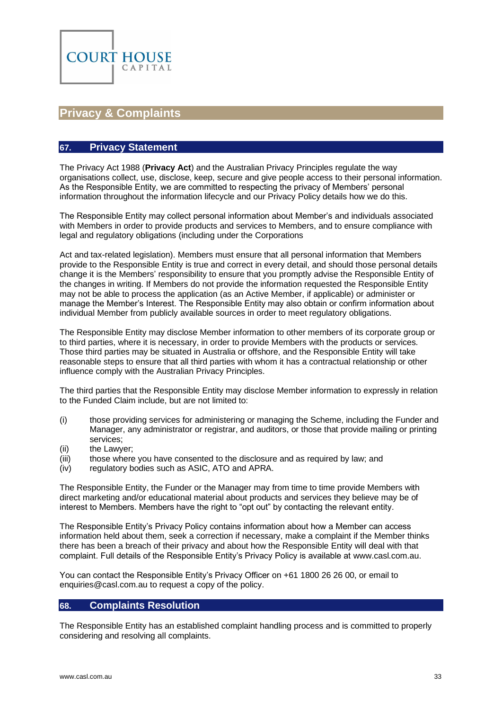

# <span id="page-32-0"></span>**Privacy & Complaints**

#### <span id="page-32-1"></span>**67. Privacy Statement**

The Privacy Act 1988 (**Privacy Act**) and the Australian Privacy Principles regulate the way organisations collect, use, disclose, keep, secure and give people access to their personal information. As the Responsible Entity, we are committed to respecting the privacy of Members' personal information throughout the information lifecycle and our Privacy Policy details how we do this.

The Responsible Entity may collect personal information about Member's and individuals associated with Members in order to provide products and services to Members, and to ensure compliance with legal and regulatory obligations (including under the Corporations

Act and tax-related legislation). Members must ensure that all personal information that Members provide to the Responsible Entity is true and correct in every detail, and should those personal details change it is the Members' responsibility to ensure that you promptly advise the Responsible Entity of the changes in writing. If Members do not provide the information requested the Responsible Entity may not be able to process the application (as an Active Member, if applicable) or administer or manage the Member's Interest. The Responsible Entity may also obtain or confirm information about individual Member from publicly available sources in order to meet regulatory obligations.

The Responsible Entity may disclose Member information to other members of its corporate group or to third parties, where it is necessary, in order to provide Members with the products or services. Those third parties may be situated in Australia or offshore, and the Responsible Entity will take reasonable steps to ensure that all third parties with whom it has a contractual relationship or other influence comply with the Australian Privacy Principles.

The third parties that the Responsible Entity may disclose Member information to expressly in relation to the Funded Claim include, but are not limited to:

- (i) those providing services for administering or managing the Scheme, including the Funder and Manager, any administrator or registrar, and auditors, or those that provide mailing or printing services;
- (ii) the Lawyer;
- (iii) those where you have consented to the disclosure and as required by law; and
- (iv) regulatory bodies such as ASIC, ATO and APRA.

The Responsible Entity, the Funder or the Manager may from time to time provide Members with direct marketing and/or educational material about products and services they believe may be of interest to Members. Members have the right to "opt out" by contacting the relevant entity.

The Responsible Entity's Privacy Policy contains information about how a Member can access information held about them, seek a correction if necessary, make a complaint if the Member thinks there has been a breach of their privacy and about how the Responsible Entity will deal with that complaint. Full details of the Responsible Entity's Privacy Policy is available at [www.casl.com.au.](http://www.casl.com.au/)

You can contact the Responsible Entity's Privacy Officer on +61 1800 26 26 00, or email to [enquiries@casl.com.au](mailto:enquiries@casl.com.au) to request a copy of the policy.

#### <span id="page-32-2"></span>**68. Complaints Resolution**

The Responsible Entity has an established complaint handling process and is committed to properly considering and resolving all complaints.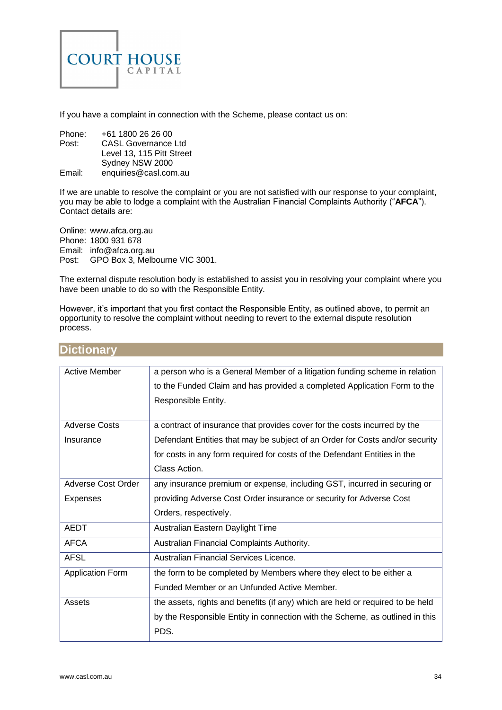

If you have a complaint in connection with the Scheme, please contact us on:

| Phone: | +61 1800 26 26 00          |
|--------|----------------------------|
| Post:  | <b>CASL Governance Ltd</b> |
|        | Level 13, 115 Pitt Street  |
|        | Sydney NSW 2000            |
| Email: | enquiries@casl.com.au      |

If we are unable to resolve the complaint or you are not satisfied with our response to your complaint, you may be able to lodge a complaint with the Australian Financial Complaints Authority ("**AFCA**"). Contact details are:

Online: [www.afca.org.au](http://www.afca.org.au/)  Phone: 1800 931 678 Email: [info@afca.org.au](mailto:info@afca.org.au) Post: GPO Box 3, Melbourne VIC 3001.

The external dispute resolution body is established to assist you in resolving your complaint where you have been unable to do so with the Responsible Entity.

However, it's important that you first contact the Responsible Entity, as outlined above, to permit an opportunity to resolve the complaint without needing to revert to the external dispute resolution process.

| <b>Active Member</b>    | a person who is a General Member of a litigation funding scheme in relation    |
|-------------------------|--------------------------------------------------------------------------------|
|                         | to the Funded Claim and has provided a completed Application Form to the       |
|                         | Responsible Entity.                                                            |
|                         |                                                                                |
| <b>Adverse Costs</b>    | a contract of insurance that provides cover for the costs incurred by the      |
| Insurance               | Defendant Entities that may be subject of an Order for Costs and/or security   |
|                         | for costs in any form required for costs of the Defendant Entities in the      |
|                         | Class Action.                                                                  |
| Adverse Cost Order      | any insurance premium or expense, including GST, incurred in securing or       |
| <b>Expenses</b>         | providing Adverse Cost Order insurance or security for Adverse Cost            |
|                         | Orders, respectively.                                                          |
| <b>AEDT</b>             | Australian Eastern Daylight Time                                               |
| <b>AFCA</b>             | Australian Financial Complaints Authority.                                     |
| <b>AFSL</b>             | Australian Financial Services Licence.                                         |
| <b>Application Form</b> | the form to be completed by Members where they elect to be either a            |
|                         | Funded Member or an Unfunded Active Member.                                    |
| Assets                  | the assets, rights and benefits (if any) which are held or required to be held |
|                         | by the Responsible Entity in connection with the Scheme, as outlined in this   |
|                         | PDS.                                                                           |

## <span id="page-33-0"></span>**Dictionary**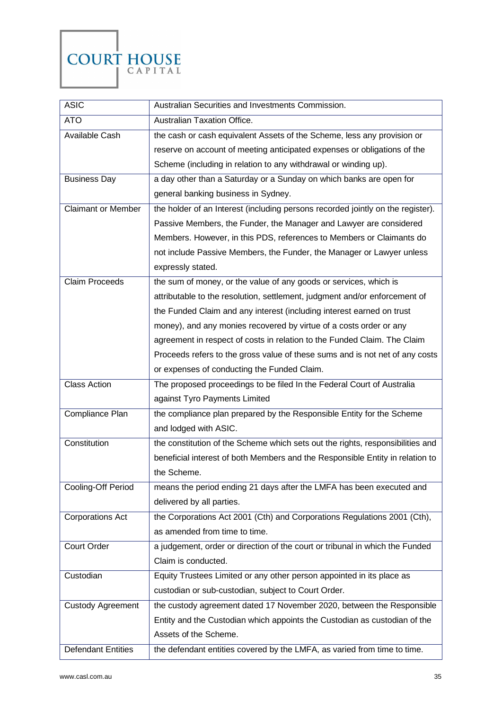

| <b>ASIC</b>               | Australian Securities and Investments Commission.                               |  |
|---------------------------|---------------------------------------------------------------------------------|--|
| <b>ATO</b>                | Australian Taxation Office.                                                     |  |
| Available Cash            | the cash or cash equivalent Assets of the Scheme, less any provision or         |  |
|                           | reserve on account of meeting anticipated expenses or obligations of the        |  |
|                           | Scheme (including in relation to any withdrawal or winding up).                 |  |
| <b>Business Day</b>       | a day other than a Saturday or a Sunday on which banks are open for             |  |
|                           | general banking business in Sydney.                                             |  |
| <b>Claimant or Member</b> | the holder of an Interest (including persons recorded jointly on the register). |  |
|                           | Passive Members, the Funder, the Manager and Lawyer are considered              |  |
|                           | Members. However, in this PDS, references to Members or Claimants do            |  |
|                           | not include Passive Members, the Funder, the Manager or Lawyer unless           |  |
|                           | expressly stated.                                                               |  |
| <b>Claim Proceeds</b>     | the sum of money, or the value of any goods or services, which is               |  |
|                           | attributable to the resolution, settlement, judgment and/or enforcement of      |  |
|                           | the Funded Claim and any interest (including interest earned on trust           |  |
|                           | money), and any monies recovered by virtue of a costs order or any              |  |
|                           | agreement in respect of costs in relation to the Funded Claim. The Claim        |  |
|                           | Proceeds refers to the gross value of these sums and is not net of any costs    |  |
|                           | or expenses of conducting the Funded Claim.                                     |  |
| <b>Class Action</b>       | The proposed proceedings to be filed In the Federal Court of Australia          |  |
|                           | against Tyro Payments Limited                                                   |  |
| Compliance Plan           | the compliance plan prepared by the Responsible Entity for the Scheme           |  |
|                           | and lodged with ASIC.                                                           |  |
| Constitution              | the constitution of the Scheme which sets out the rights, responsibilities and  |  |
|                           | beneficial interest of both Members and the Responsible Entity in relation to   |  |
|                           | the Scheme.                                                                     |  |
| Cooling-Off Period        | means the period ending 21 days after the LMFA has been executed and            |  |
|                           | delivered by all parties.                                                       |  |
| <b>Corporations Act</b>   | the Corporations Act 2001 (Cth) and Corporations Regulations 2001 (Cth),        |  |
|                           | as amended from time to time.                                                   |  |
| <b>Court Order</b>        | a judgement, order or direction of the court or tribunal in which the Funded    |  |
|                           | Claim is conducted.                                                             |  |
| Custodian                 | Equity Trustees Limited or any other person appointed in its place as           |  |
|                           | custodian or sub-custodian, subject to Court Order.                             |  |
|                           |                                                                                 |  |
| <b>Custody Agreement</b>  | the custody agreement dated 17 November 2020, between the Responsible           |  |
|                           | Entity and the Custodian which appoints the Custodian as custodian of the       |  |
|                           | Assets of the Scheme.                                                           |  |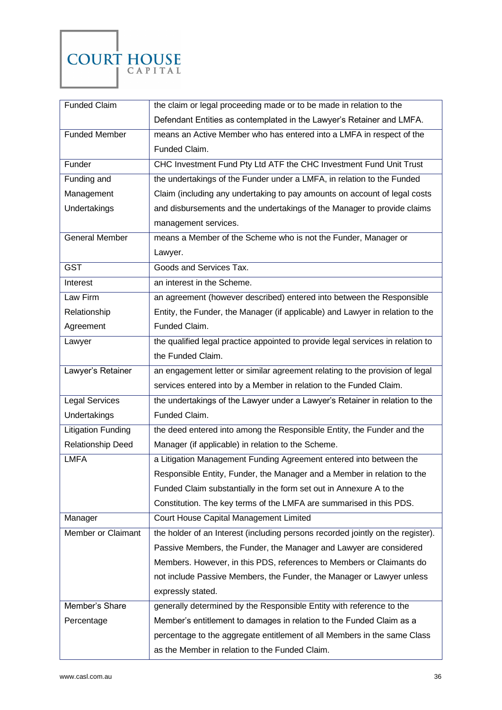

| <b>Funded Claim</b>       | the claim or legal proceeding made or to be made in relation to the             |  |  |
|---------------------------|---------------------------------------------------------------------------------|--|--|
|                           | Defendant Entities as contemplated in the Lawyer's Retainer and LMFA.           |  |  |
| Funded Member             | means an Active Member who has entered into a LMFA in respect of the            |  |  |
|                           | Funded Claim.                                                                   |  |  |
| Funder                    | CHC Investment Fund Pty Ltd ATF the CHC Investment Fund Unit Trust              |  |  |
| Funding and               | the undertakings of the Funder under a LMFA, in relation to the Funded          |  |  |
| Management                | Claim (including any undertaking to pay amounts on account of legal costs       |  |  |
| Undertakings              | and disbursements and the undertakings of the Manager to provide claims         |  |  |
|                           | management services.                                                            |  |  |
| <b>General Member</b>     | means a Member of the Scheme who is not the Funder, Manager or                  |  |  |
|                           | Lawyer.                                                                         |  |  |
| <b>GST</b>                | Goods and Services Tax.                                                         |  |  |
| Interest                  | an interest in the Scheme.                                                      |  |  |
| Law Firm                  | an agreement (however described) entered into between the Responsible           |  |  |
| Relationship              | Entity, the Funder, the Manager (if applicable) and Lawyer in relation to the   |  |  |
| Agreement                 | Funded Claim.                                                                   |  |  |
| Lawyer                    | the qualified legal practice appointed to provide legal services in relation to |  |  |
|                           | the Funded Claim.                                                               |  |  |
| Lawyer's Retainer         | an engagement letter or similar agreement relating to the provision of legal    |  |  |
|                           | services entered into by a Member in relation to the Funded Claim.              |  |  |
| <b>Legal Services</b>     | the undertakings of the Lawyer under a Lawyer's Retainer in relation to the     |  |  |
| Undertakings              | Funded Claim.                                                                   |  |  |
| <b>Litigation Funding</b> | the deed entered into among the Responsible Entity, the Funder and the          |  |  |
| Relationship Deed         | Manager (if applicable) in relation to the Scheme.                              |  |  |
| <b>LMFA</b>               | a Litigation Management Funding Agreement entered into between the              |  |  |
|                           | Responsible Entity, Funder, the Manager and a Member in relation to the         |  |  |
|                           | Funded Claim substantially in the form set out in Annexure A to the             |  |  |
|                           | Constitution. The key terms of the LMFA are summarised in this PDS.             |  |  |
| Manager                   | Court House Capital Management Limited                                          |  |  |
| Member or Claimant        | the holder of an Interest (including persons recorded jointly on the register). |  |  |
|                           | Passive Members, the Funder, the Manager and Lawyer are considered              |  |  |
|                           | Members. However, in this PDS, references to Members or Claimants do            |  |  |
|                           | not include Passive Members, the Funder, the Manager or Lawyer unless           |  |  |
|                           | expressly stated.                                                               |  |  |
| Member's Share            | generally determined by the Responsible Entity with reference to the            |  |  |
| Percentage                | Member's entitlement to damages in relation to the Funded Claim as a            |  |  |
|                           | percentage to the aggregate entitlement of all Members in the same Class        |  |  |
|                           | as the Member in relation to the Funded Claim.                                  |  |  |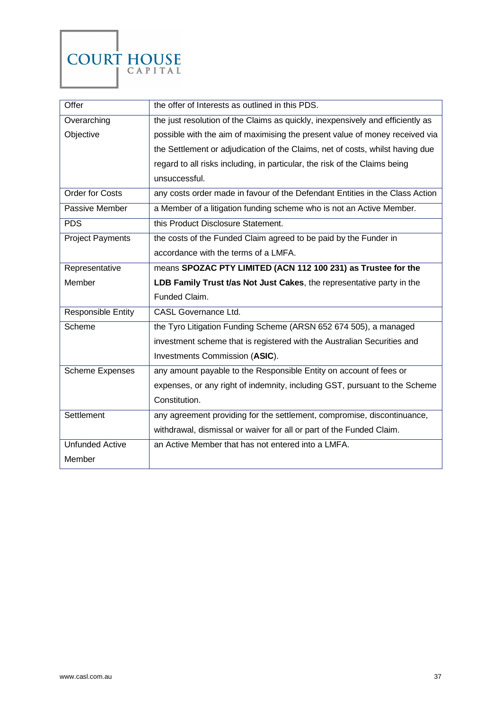

| Offer                     | the offer of Interests as outlined in this PDS.                                |
|---------------------------|--------------------------------------------------------------------------------|
| Overarching               | the just resolution of the Claims as quickly, inexpensively and efficiently as |
| Objective                 | possible with the aim of maximising the present value of money received via    |
|                           | the Settlement or adjudication of the Claims, net of costs, whilst having due  |
|                           | regard to all risks including, in particular, the risk of the Claims being     |
|                           | unsuccessful.                                                                  |
| Order for Costs           | any costs order made in favour of the Defendant Entities in the Class Action   |
| Passive Member            | a Member of a litigation funding scheme who is not an Active Member.           |
| <b>PDS</b>                | this Product Disclosure Statement.                                             |
| <b>Project Payments</b>   | the costs of the Funded Claim agreed to be paid by the Funder in               |
|                           | accordance with the terms of a LMFA.                                           |
| Representative            | means SPOZAC PTY LIMITED (ACN 112 100 231) as Trustee for the                  |
| Member                    | LDB Family Trust t/as Not Just Cakes, the representative party in the          |
|                           | Funded Claim.                                                                  |
| <b>Responsible Entity</b> | <b>CASL Governance Ltd.</b>                                                    |
| Scheme                    | the Tyro Litigation Funding Scheme (ARSN 652 674 505), a managed               |
|                           | investment scheme that is registered with the Australian Securities and        |
|                           | Investments Commission (ASIC).                                                 |
| <b>Scheme Expenses</b>    | any amount payable to the Responsible Entity on account of fees or             |
|                           | expenses, or any right of indemnity, including GST, pursuant to the Scheme     |
|                           | Constitution.                                                                  |
| Settlement                | any agreement providing for the settlement, compromise, discontinuance,        |
|                           | withdrawal, dismissal or waiver for all or part of the Funded Claim.           |
| Unfunded Active           | an Active Member that has not entered into a LMFA.                             |
| Member                    |                                                                                |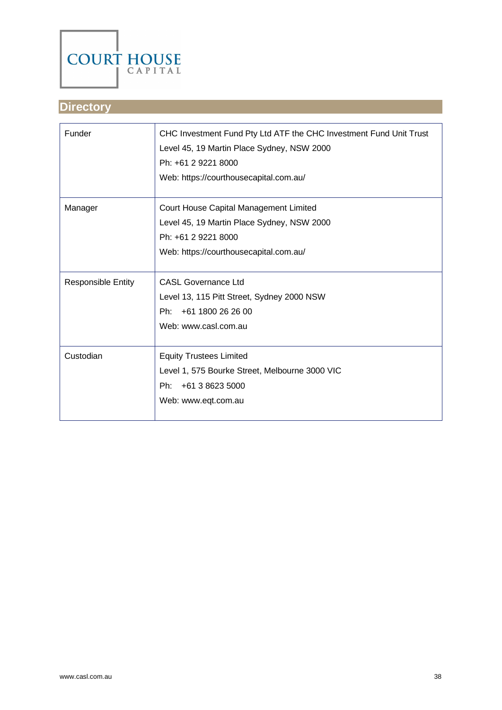

# <span id="page-37-0"></span>**Directory**

| Funder                    | CHC Investment Fund Pty Ltd ATF the CHC Investment Fund Unit Trust<br>Level 45, 19 Martin Place Sydney, NSW 2000<br>Ph: +61 2 9221 8000<br>Web: https://courthousecapital.com.au/ |
|---------------------------|-----------------------------------------------------------------------------------------------------------------------------------------------------------------------------------|
| Manager                   | Court House Capital Management Limited<br>Level 45, 19 Martin Place Sydney, NSW 2000<br>Ph: +61 2 9221 8000<br>Web: https://courthousecapital.com.au/                             |
| <b>Responsible Entity</b> | <b>CASL Governance Ltd</b><br>Level 13, 115 Pitt Street, Sydney 2000 NSW<br>+61 1800 26 26 00<br>Ph:<br>Web: www.casl.com.au                                                      |
| Custodian                 | <b>Equity Trustees Limited</b><br>Level 1, 575 Bourke Street, Melbourne 3000 VIC<br>+61 3 8623 5000<br>Ph:<br>Web: www.eqt.com.au                                                 |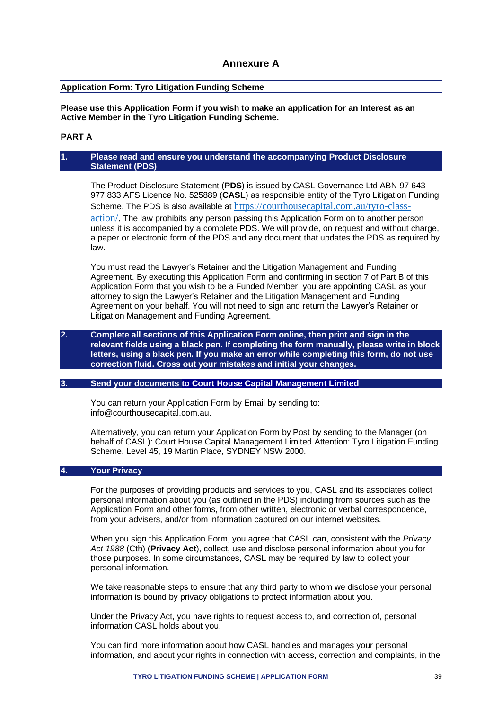### **Annexure A**

#### <span id="page-38-0"></span>**Application Form: Tyro Litigation Funding Scheme**

**Please use this Application Form if you wish to make an application for an Interest as an Active Member in the Tyro Litigation Funding Scheme.**

#### **PART A**

#### **1. Please read and ensure you understand the accompanying Product Disclosure Statement (PDS)**

The Product Disclosure Statement (**PDS**) is issued by CASL Governance Ltd ABN 97 643 977 833 AFS Licence No. 525889 (**CASL**) as responsible entity of the Tyro Litigation Funding Scheme. The PDS is also available at [https://courthousecapital.com.au/tyro-class](https://courthousecapital.com.au/tyro-class-action/)[action/.](https://courthousecapital.com.au/tyro-class-action/) The law prohibits any person passing this Application Form on to another person unless it is accompanied by a complete PDS. We will provide, on request and without charge, a paper or electronic form of the PDS and any document that updates the PDS as required by law.

You must read the Lawyer's Retainer and the Litigation Management and Funding Agreement. By executing this Application Form and confirming in section 7 of Part B of this Application Form that you wish to be a Funded Member, you are appointing CASL as your attorney to sign the Lawyer's Retainer and the Litigation Management and Funding Agreement on your behalf. You will not need to sign and return the Lawyer's Retainer or Litigation Management and Funding Agreement.

#### **2. Complete all sections of this Application Form online, then print and sign in the relevant fields using a black pen. If completing the form manually, please write in block letters, using a black pen. If you make an error while completing this form, do not use correction fluid. Cross out your mistakes and initial your changes.**

#### **3. Send your documents to Court House Capital Management Limited**

You can return your Application Form by Email by sending to: info@courthousecapital.com.au.

Alternatively, you can return your Application Form by Post by sending to the Manager (on behalf of CASL): Court House Capital Management Limited Attention: Tyro Litigation Funding Scheme. Level 45, 19 Martin Place, SYDNEY NSW 2000.

#### **4. Your Privacy**

For the purposes of providing products and services to you, CASL and its associates collect personal information about you (as outlined in the PDS) including from sources such as the Application Form and other forms, from other written, electronic or verbal correspondence, from your advisers, and/or from information captured on our internet websites.

When you sign this Application Form, you agree that CASL can, consistent with the *Privacy Act 1988* (Cth) (**Privacy Act**), collect, use and disclose personal information about you for those purposes. In some circumstances, CASL may be required by law to collect your personal information.

We take reasonable steps to ensure that any third party to whom we disclose your personal information is bound by privacy obligations to protect information about you.

Under the Privacy Act, you have rights to request access to, and correction of, personal information CASL holds about you.

You can find more information about how CASL handles and manages your personal information, and about your rights in connection with access, correction and complaints, in the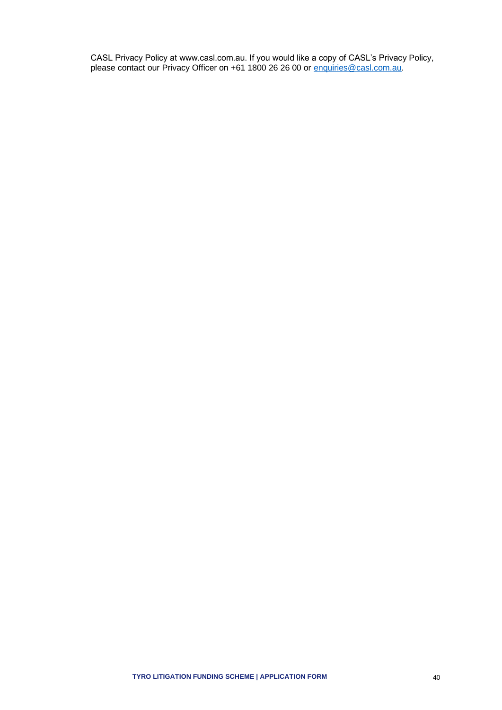CASL Privacy Policy at www.casl.com.au. If you would like a copy of CASL's Privacy Policy, please contact our Privacy Officer on +61 1800 26 26 00 or [enquiries@casl.com.au.](mailto:enquiries@casl.com.au)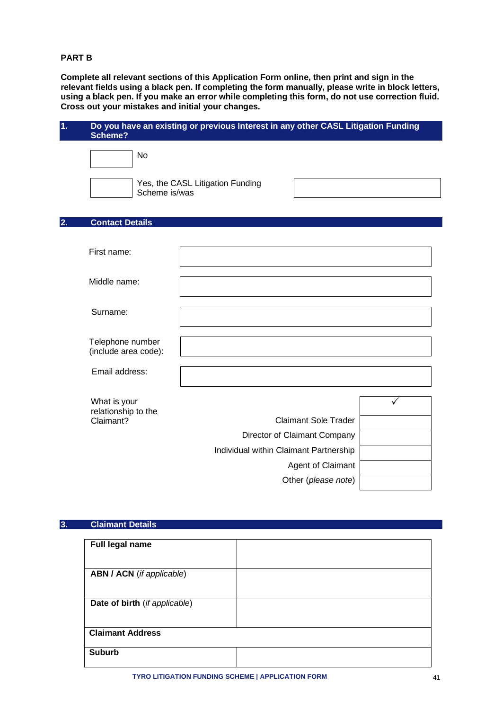#### **PART B**

**Complete all relevant sections of this Application Form online, then print and sign in the relevant fields using a black pen. If completing the form manually, please write in block letters, using a black pen. If you make an error while completing this form, do not use correction fluid. Cross out your mistakes and initial your changes.** 

| 1. | Scheme?                                          | Do you have an existing or previous Interest in any other CASL Litigation Funding |
|----|--------------------------------------------------|-----------------------------------------------------------------------------------|
|    | No<br>Scheme is/was                              | Yes, the CASL Litigation Funding                                                  |
| 2. | <b>Contact Details</b>                           |                                                                                   |
|    | First name:                                      |                                                                                   |
|    | Middle name:                                     |                                                                                   |
|    | Surname:                                         |                                                                                   |
|    | Telephone number<br>(include area code):         |                                                                                   |
|    | Email address:                                   |                                                                                   |
|    | What is your<br>relationship to the<br>Claimant? | ✓<br><b>Claimant Sole Trader</b><br>Director of Claimant Company                  |
|    |                                                  | Individual within Claimant Partnership<br>Agent of Claimant                       |
|    |                                                  | Other (please note)                                                               |

#### **3. Claimant Details**

| Full legal name                  |  |
|----------------------------------|--|
|                                  |  |
|                                  |  |
| <b>ABN / ACN</b> (if applicable) |  |
|                                  |  |
|                                  |  |
| Date of birth (if applicable)    |  |
|                                  |  |
|                                  |  |
| <b>Claimant Address</b>          |  |
|                                  |  |
| <b>Suburb</b>                    |  |
|                                  |  |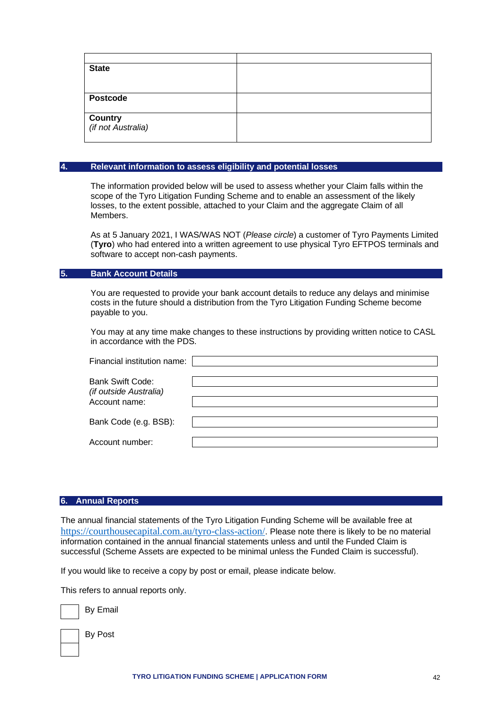| <b>State</b>                                  |  |
|-----------------------------------------------|--|
|                                               |  |
|                                               |  |
| <b>Postcode</b>                               |  |
|                                               |  |
| <b>Country</b><br>( <i>if not Australia</i> ) |  |
|                                               |  |
|                                               |  |

#### **4. Relevant information to assess eligibility and potential losses**

The information provided below will be used to assess whether your Claim falls within the scope of the Tyro Litigation Funding Scheme and to enable an assessment of the likely losses, to the extent possible, attached to your Claim and the aggregate Claim of all Members.

As at 5 January 2021, I WAS/WAS NOT (*Please circle*) a customer of Tyro Payments Limited (**Tyro**) who had entered into a written agreement to use physical Tyro EFTPOS terminals and software to accept non-cash payments.

#### **5. Bank Account Details**

You are requested to provide your bank account details to reduce any delays and minimise costs in the future should a distribution from the Tyro Litigation Funding Scheme become payable to you.

You may at any time make changes to these instructions by providing written notice to CASL in accordance with the PDS.

| Financial institution name:                       |  |
|---------------------------------------------------|--|
| <b>Bank Swift Code:</b><br>(if outside Australia) |  |
| Account name:                                     |  |
| Bank Code (e.g. BSB):                             |  |
| Account number:                                   |  |

#### **6. Annual Reports**

The annual financial statements of the Tyro Litigation Funding Scheme will be available free at <https://courthousecapital.com.au/tyro-class-action/>. Please note there is likely to be no material information contained in the annual financial statements unless and until the Funded Claim is successful (Scheme Assets are expected to be minimal unless the Funded Claim is successful).

If you would like to receive a copy by post or email, please indicate below.

This refers to annual reports only.

By Email

By Post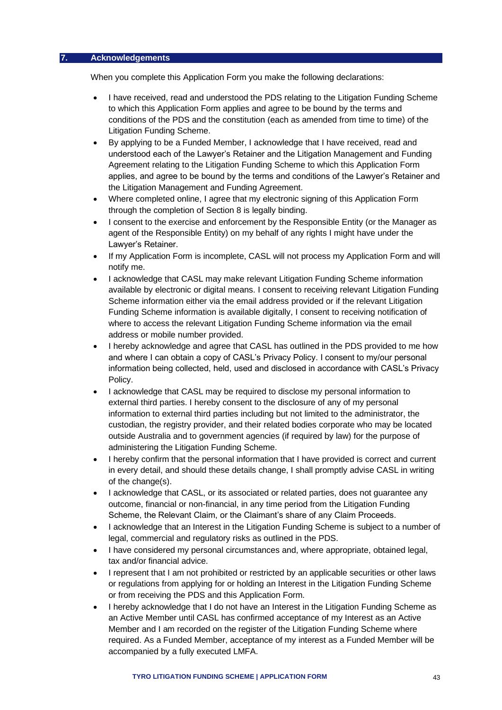#### **7. Acknowledgements**

When you complete this Application Form you make the following declarations:

- I have received, read and understood the PDS relating to the Litigation Funding Scheme to which this Application Form applies and agree to be bound by the terms and conditions of the PDS and the constitution (each as amended from time to time) of the Litigation Funding Scheme.
- By applying to be a Funded Member, I acknowledge that I have received, read and understood each of the Lawyer's Retainer and the Litigation Management and Funding Agreement relating to the Litigation Funding Scheme to which this Application Form applies, and agree to be bound by the terms and conditions of the Lawyer's Retainer and the Litigation Management and Funding Agreement.
- Where completed online, I agree that my electronic signing of this Application Form through the completion of Section 8 is legally binding.
- I consent to the exercise and enforcement by the Responsible Entity (or the Manager as agent of the Responsible Entity) on my behalf of any rights I might have under the Lawyer's Retainer.
- If my Application Form is incomplete, CASL will not process my Application Form and will notify me.
- I acknowledge that CASL may make relevant Litigation Funding Scheme information available by electronic or digital means. I consent to receiving relevant Litigation Funding Scheme information either via the email address provided or if the relevant Litigation Funding Scheme information is available digitally, I consent to receiving notification of where to access the relevant Litigation Funding Scheme information via the email address or mobile number provided.
- I hereby acknowledge and agree that CASL has outlined in the PDS provided to me how and where I can obtain a copy of CASL's Privacy Policy. I consent to my/our personal information being collected, held, used and disclosed in accordance with CASL's Privacy Policy.
- I acknowledge that CASL may be required to disclose my personal information to external third parties. I hereby consent to the disclosure of any of my personal information to external third parties including but not limited to the administrator, the custodian, the registry provider, and their related bodies corporate who may be located outside Australia and to government agencies (if required by law) for the purpose of administering the Litigation Funding Scheme.
- I hereby confirm that the personal information that I have provided is correct and current in every detail, and should these details change, I shall promptly advise CASL in writing of the change(s).
- I acknowledge that CASL, or its associated or related parties, does not guarantee any outcome, financial or non-financial, in any time period from the Litigation Funding Scheme, the Relevant Claim, or the Claimant's share of any Claim Proceeds.
- I acknowledge that an Interest in the Litigation Funding Scheme is subject to a number of legal, commercial and regulatory risks as outlined in the PDS.
- I have considered my personal circumstances and, where appropriate, obtained legal, tax and/or financial advice.
- I represent that I am not prohibited or restricted by an applicable securities or other laws or regulations from applying for or holding an Interest in the Litigation Funding Scheme or from receiving the PDS and this Application Form.
- I hereby acknowledge that I do not have an Interest in the Litigation Funding Scheme as an Active Member until CASL has confirmed acceptance of my Interest as an Active Member and I am recorded on the register of the Litigation Funding Scheme where required. As a Funded Member, acceptance of my interest as a Funded Member will be accompanied by a fully executed LMFA.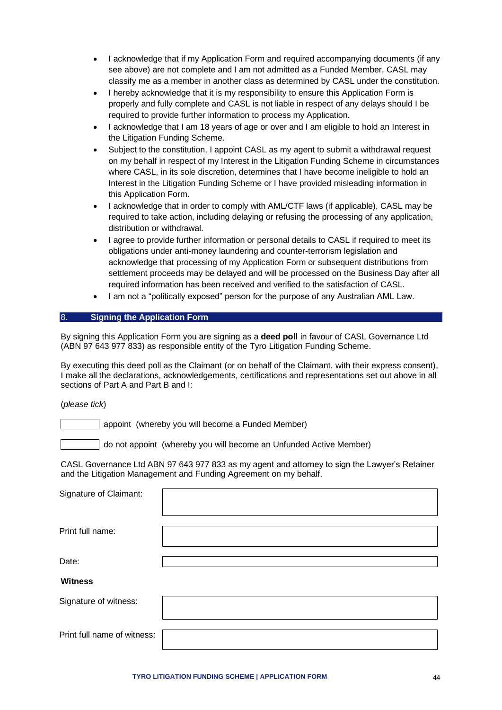- I acknowledge that if my Application Form and required accompanying documents (if any see above) are not complete and I am not admitted as a Funded Member, CASL may classify me as a member in another class as determined by CASL under the constitution.
- I hereby acknowledge that it is my responsibility to ensure this Application Form is properly and fully complete and CASL is not liable in respect of any delays should I be required to provide further information to process my Application.
- I acknowledge that I am 18 years of age or over and I am eligible to hold an Interest in the Litigation Funding Scheme.
- Subject to the constitution, I appoint CASL as my agent to submit a withdrawal request on my behalf in respect of my Interest in the Litigation Funding Scheme in circumstances where CASL, in its sole discretion, determines that I have become ineligible to hold an Interest in the Litigation Funding Scheme or I have provided misleading information in this Application Form.
- I acknowledge that in order to comply with AML/CTF laws (if applicable), CASL may be required to take action, including delaying or refusing the processing of any application, distribution or withdrawal.
- I agree to provide further information or personal details to CASL if required to meet its obligations under anti-money laundering and counter-terrorism legislation and acknowledge that processing of my Application Form or subsequent distributions from settlement proceeds may be delayed and will be processed on the Business Day after all required information has been received and verified to the satisfaction of CASL.
- I am not a "politically exposed" person for the purpose of any Australian AML Law.

#### 8. **Signing the Application Form**

By signing this Application Form you are signing as a **deed poll** in favour of CASL Governance Ltd (ABN 97 643 977 833) as responsible entity of the Tyro Litigation Funding Scheme.

By executing this deed poll as the Claimant (or on behalf of the Claimant, with their express consent), I make all the declarations, acknowledgements, certifications and representations set out above in all sections of Part A and Part B and I:

(*please tick*)

appoint (whereby you will become a Funded Member)

do not appoint (whereby you will become an Unfunded Active Member)

CASL Governance Ltd ABN 97 643 977 833 as my agent and attorney to sign the Lawyer's Retainer and the Litigation Management and Funding Agreement on my behalf.

| Signature of Claimant:      |  |
|-----------------------------|--|
| Print full name:            |  |
| Date:                       |  |
| <b>Witness</b>              |  |
| Signature of witness:       |  |
| Print full name of witness: |  |